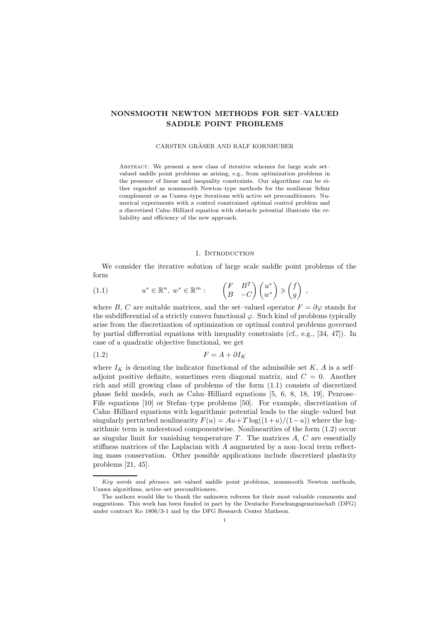# NONSMOOTH NEWTON METHODS FOR SET–VALUED SADDLE POINT PROBLEMS

#### CARSTEN GRÄSER AND RALF KORNHUBER

ABSTRACT. We present a new class of iterative schemes for large scale setvalued saddle point problems as arising, e.g., from optimization problems in the presence of linear and inequality constraints. Our algorithms can be either regarded as nonsmooth Newton–type methods for the nonlinear Schur complement or as Uzawa–type iterations with active set preconditioners. Numerical experiments with a control constrained optimal control problem and a discretized Cahn–Hilliard equation with obstacle potential illustrate the reliability and efficiency of the new approach.

#### 1. INTRODUCTION

We consider the iterative solution of large scale saddle point problems of the form

(1.1) 
$$
u^* \in \mathbb{R}^n, w^* \in \mathbb{R}^m: \qquad \begin{pmatrix} F & B^T \\ B & -C \end{pmatrix} \begin{pmatrix} u^* \\ w^* \end{pmatrix} \ni \begin{pmatrix} f \\ g \end{pmatrix},
$$

where B, C are suitable matrices, and the set–valued operator  $F = \partial \varphi$  stands for the subdifferential of a strictly convex functional  $\varphi$ . Such kind of problems typically arise from the discretization of optimization or optimal control problems governed by partial differential equations with inequality constraints (cf., e.g., [34, 47]). In case of a quadratic objective functional, we get

$$
(1.2) \t\t\t F = A + \partial I_K
$$

where  $I_K$  is denoting the indicator functional of the admissible set K, A is a selfadjoint positive definite, sometimes even diagonal matrix, and  $C = 0$ . Another rich and still growing class of problems of the form (1.1) consists of discretized phase field models, such as Cahn–Hilliard equations [5, 6, 8, 18, 19], Penrose– Fife equations [10] or Stefan–type problems [50]. For example, discretization of Cahn–Hilliard equations with logarithmic potential leads to the single–valued but singularly perturbed nonlinearity  $F(u) = Au + T \log((1+u)/(1-u))$  where the logarithmic term is understood componentwise. Nonlinearities of the form (1.2) occur as singular limit for vanishing temperature  $T$ . The matrices  $A, C$  are essentially stiffness matrices of the Laplacian with  $A$  augmented by a non-local term reflecting mass conservation. Other possible applications include discretized plasticity problems [21, 45].

Key words and phrases. set–valued saddle point problems, nonsmooth Newton methods, Uzawa algorithms, active–set preconditioners.

The authors would like to thank the unknown referees for their most valuable comments and suggestions. This work has been funded in part by the Deutsche Forschungsgemeinschaft (DFG) under contract Ko 1806/3-1 and by the DFG Research Center Matheon.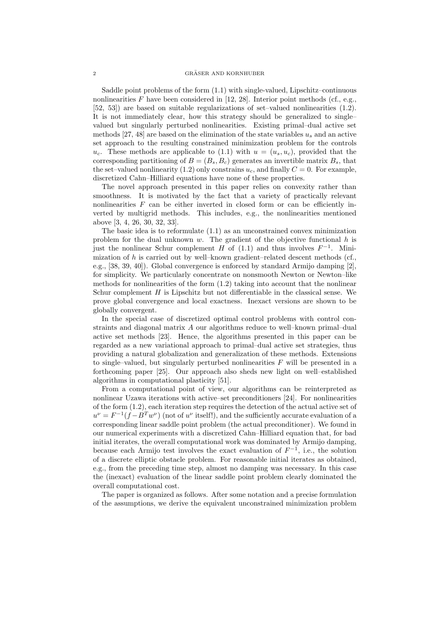Saddle point problems of the form (1.1) with single-valued, Lipschitz–continuous nonlinearities  $F$  have been considered in [12, 28]. Interior point methods (cf., e.g., [52, 53]) are based on suitable regularizations of set–valued nonlinearities  $(1.2)$ . It is not immediately clear, how this strategy should be generalized to single– valued but singularly perturbed nonlinearities. Existing primal–dual active set methods [27, 48] are based on the elimination of the state variables  $u_s$  and an active set approach to the resulting constrained minimization problem for the controls  $u_c$ . These methods are applicable to (1.1) with  $u = (u_s, u_c)$ , provided that the corresponding partitioning of  $B = (B_s, B_c)$  generates an invertible matrix  $B_s$ , that the set–valued nonlinearity (1.2) only constrains  $u_c$ , and finally  $C = 0$ . For example, discretized Cahn–Hilliard equations have none of these properties.

The novel approach presented in this paper relies on convexity rather than smoothness. It is motivated by the fact that a variety of practically relevant nonlinearities  $F$  can be either inverted in closed form or can be efficiently inverted by multigrid methods. This includes, e.g., the nonlinearities mentioned above [3, 4, 26, 30, 32, 33].

The basic idea is to reformulate (1.1) as an unconstrained convex minimization problem for the dual unknown  $w$ . The gradient of the objective functional  $h$  is just the nonlinear Schur complement H of  $(1.1)$  and thus involves  $F^{-1}$ . Minimization of  $h$  is carried out by well–known gradient–related descent methods (cf., e.g., [38, 39, 40]). Global convergence is enforced by standard Armijo damping [2], for simplicity. We particularly concentrate on nonsmooth Newton or Newton–like methods for nonlinearities of the form (1.2) taking into account that the nonlinear Schur complement  $H$  is Lipschitz but not differentiable in the classical sense. We prove global convergence and local exactness. Inexact versions are shown to be globally convergent.

In the special case of discretized optimal control problems with control constraints and diagonal matrix A our algorithms reduce to well–known primal–dual active set methods [23]. Hence, the algorithms presented in this paper can be regarded as a new variational approach to primal–dual active set strategies, thus providing a natural globalization and generalization of these methods. Extensions to single–valued, but singularly perturbed nonlinearities  $F$  will be presented in a forthcoming paper [25]. Our approach also sheds new light on well–established algorithms in computational plasticity [51].

From a computational point of view, our algorithms can be reinterpreted as nonlinear Uzawa iterations with active–set preconditioners [24]. For nonlinearities of the form (1.2), each iteration step requires the detection of the actual active set of  $u^{\nu} = F^{-1}(f - B^{T}w^{\nu})$  (not of  $u^{\nu}$  itself!), and the sufficiently accurate evaluation of a corresponding linear saddle point problem (the actual preconditioner). We found in our numerical experiments with a discretized Cahn–Hilliard equation that, for bad initial iterates, the overall computational work was dominated by Armijo damping, because each Armijo test involves the exact evaluation of  $F^{-1}$ , i.e., the solution of a discrete elliptic obstacle problem. For reasonable initial iterates as obtained, e.g., from the preceding time step, almost no damping was necessary. In this case the (inexact) evaluation of the linear saddle point problem clearly dominated the overall computational cost.

The paper is organized as follows. After some notation and a precise formulation of the assumptions, we derive the equivalent unconstrained minimization problem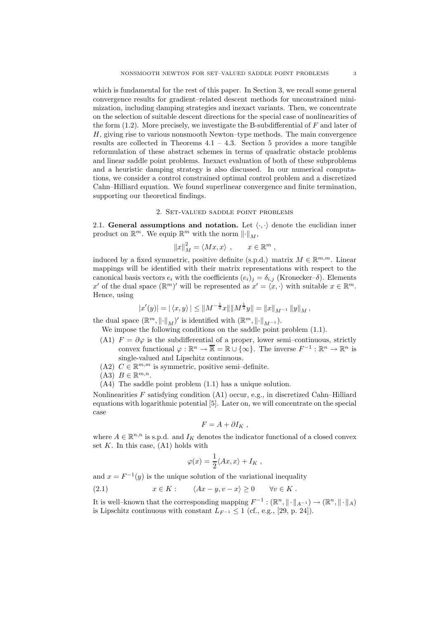which is fundamental for the rest of this paper. In Section 3, we recall some general convergence results for gradient–related descent methods for unconstrained minimization, including damping strategies and inexact variants. Then, we concentrate on the selection of suitable descent directions for the special case of nonlinearities of the form  $(1.2)$ . More precisely, we investigate the B-subdifferential of F and later of  $H$ , giving rise to various nonsmooth Newton–type methods. The main convergence results are collected in Theorems  $4.1 - 4.3$ . Section 5 provides a more tangible reformulation of these abstract schemes in terms of quadratic obstacle problems and linear saddle point problems. Inexact evaluation of both of these subproblems and a heuristic damping strategy is also discussed. In our numerical computations, we consider a control constrained optimal control problem and a discretized Cahn–Hilliard equation. We found superlinear convergence and finite termination, supporting our theoretical findings.

## 2. Set-valued saddle point problems

2.1. General assumptions and notation. Let  $\langle \cdot, \cdot \rangle$  denote the euclidian inner product on  $\mathbb{R}^m$ . We equip  $\mathbb{R}^m$  with the norm  $\left\| \cdot \right\|_M$ ,

$$
||x||_M^2 = \langle Mx, x \rangle , \qquad x \in \mathbb{R}^m ,
$$

induced by a fixed symmetric, positive definite (s.p.d.) matrix  $M \in \mathbb{R}^{m,m}$ . Linear mappings will be identified with their matrix representations with respect to the canonical basis vectors  $e_i$  with the coefficients  $(e_i)_j = \delta_{i,j}$  (Kronecker– $\delta$ ). Elements x' of the dual space  $(\mathbb{R}^m)'$  will be represented as  $x' = \langle x, \cdot \rangle$  with suitable  $x \in \mathbb{R}^m$ . Hence, using

$$
|x'(y)| = |\langle x, y \rangle| \le ||M^{-\frac{1}{2}}x|| ||M^{\frac{1}{2}}y|| = ||x||_{M^{-1}} ||y||_M,
$$

the dual space  $(\mathbb{R}^m, \lVert \cdot \rVert_M)'$  is identified with  $(\mathbb{R}^m, \lVert \cdot \rVert_{M^{-1}})$ .

We impose the following conditions on the saddle point problem  $(1.1)$ .

- (A1)  $F = \partial \varphi$  is the subdifferential of a proper, lower semi–continuous, strictly convex functional  $\varphi : \mathbb{R}^n \to \overline{\mathbb{R}} = \mathbb{R} \cup \{\infty\}$ . The inverse  $F^{-1} : \mathbb{R}^n \to \mathbb{R}^n$  is single-valued and Lipschitz continuous.
- (A2)  $C \in \mathbb{R}^{m,m}$  is symmetric, positive semi-definite.
- $(A3)$   $B \in \mathbb{R}^{m,n}$ .
- (A4) The saddle point problem (1.1) has a unique solution.

Nonlinearities  $F$  satisfying condition  $(A1)$  occur, e.g., in discretized Cahn–Hilliard equations with logarithmic potential [5]. Later on, we will concentrate on the special case

$$
F = A + \partial I_K,
$$

where  $A \in \mathbb{R}^{n,n}$  is s.p.d. and  $I_K$  denotes the indicator functional of a closed convex set  $K$ . In this case,  $(A1)$  holds with

$$
\varphi(x) = \frac{1}{2} \langle Ax, x \rangle + I_K ,
$$

and  $x = F^{-1}(y)$  is the unique solution of the variational inequality

(2.1)  $x \in K: \quad \langle Ax - y, v - x \rangle \geq 0 \quad \forall v \in K.$ 

It is well-known that the corresponding mapping  $F^{-1} : (\mathbb{R}^n, \|\cdot\|_{A^{-1}}) \to (\mathbb{R}^n, \|\cdot\|_{A})$ is Lipschitz continuous with constant  $L_{F^{-1}} \leq 1$  (cf., e.g., [29, p. 24]).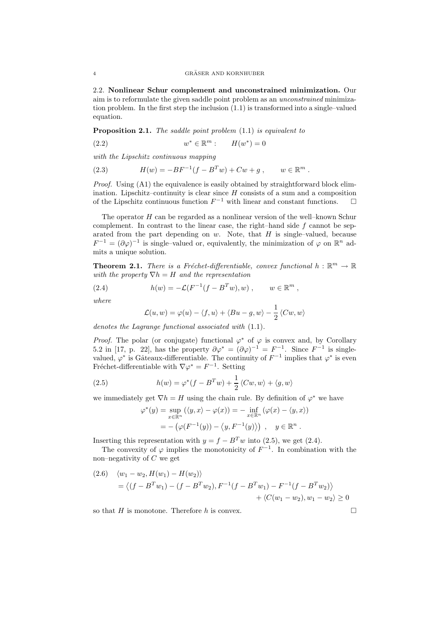2.2. Nonlinear Schur complement and unconstrained minimization. Our aim is to reformulate the given saddle point problem as an unconstrained minimization problem. In the first step the inclusion (1.1) is transformed into a single–valued equation.

**Proposition 2.1.** The saddle point problem  $(1.1)$  is equivalent to

(2.2) 
$$
w^* \in \mathbb{R}^m : H(w^*) = 0
$$

with the Lipschitz continuous mapping

(2.3) 
$$
H(w) = -BF^{-1}(f - B^Tw) + Cw + g, \qquad w \in \mathbb{R}^m.
$$

Proof. Using (A1) the equivalence is easily obtained by straightforward block elimination. Lipschitz–continuity is clear since  $H$  consists of a sum and a composition of the Lipschitz continuous function  $F^{-1}$  with linear and constant functions.  $\Box$ 

The operator  $H$  can be regarded as a nonlinear version of the well–known Schur complement. In contrast to the linear case, the right–hand side  $f$  cannot be separated from the part depending on  $w$ . Note, that  $H$  is single–valued, because  $F^{-1} = (\partial \varphi)^{-1}$  is single–valued or, equivalently, the minimization of  $\varphi$  on  $\mathbb{R}^n$  admits a unique solution.

**Theorem 2.1.** There is a Fréchet-differentiable, convex functional  $h : \mathbb{R}^m \to \mathbb{R}$ with the property  $\nabla h = H$  and the representation

(2.4) 
$$
h(w) = -\mathcal{L}(F^{-1}(f - B^T w), w) , \qquad w \in \mathbb{R}^m ,
$$

where

$$
\mathcal{L}(u, w) = \varphi(u) - \langle f, u \rangle + \langle Bu - g, w \rangle - \frac{1}{2} \langle Cw, w \rangle
$$

denotes the Lagrange functional associated with (1.1).

*Proof.* The polar (or conjugate) functional  $\varphi^*$  of  $\varphi$  is convex and, by Corollary 5.2 in [17, p. 22], has the property  $\partial \varphi^* = (\partial \varphi)^{-1} = F^{-1}$ . Since  $F^{-1}$  is singlevalued,  $\varphi^*$  is Gâteaux-differentiable. The continuity of  $F^{-1}$  implies that  $\varphi^*$  is even Fréchet-differentiable with  $\nabla \varphi^* = F^{-1}$ . Setting

(2.5) 
$$
h(w) = \varphi^*(f - B^T w) + \frac{1}{2} \langle Cw, w \rangle + \langle g, w \rangle
$$

we immediately get  $\nabla h = H$  using the chain rule. By definition of  $\varphi^*$  we have

$$
\varphi^*(y) = \sup_{x \in \mathbb{R}^n} (\langle y, x \rangle - \varphi(x)) = - \inf_{x \in \mathbb{R}^n} (\varphi(x) - \langle y, x \rangle)
$$
  
= -(\varphi(F^{-1}(y)) - \langle y, F^{-1}(y) \rangle), y \in \mathbb{R}^n.

Inserting this representation with  $y = f - B<sup>T</sup> w$  into (2.5), we get (2.4).

The convexity of  $\varphi$  implies the monotonicity of  $F^{-1}$ . In combination with the non–negativity of  $C$  we get

$$
(2.6) \quad \langle w_1 - w_2, H(w_1) - H(w_2) \rangle
$$
  
=  $\langle (f - B^T w_1) - (f - B^T w_2), F^{-1} (f - B^T w_1) - F^{-1} (f - B^T w_2) \rangle$   
+  $\langle C(w_1 - w_2), w_1 - w_2 \rangle \ge 0$ 

so that H is monotone. Therefore h is convex.  $\Box$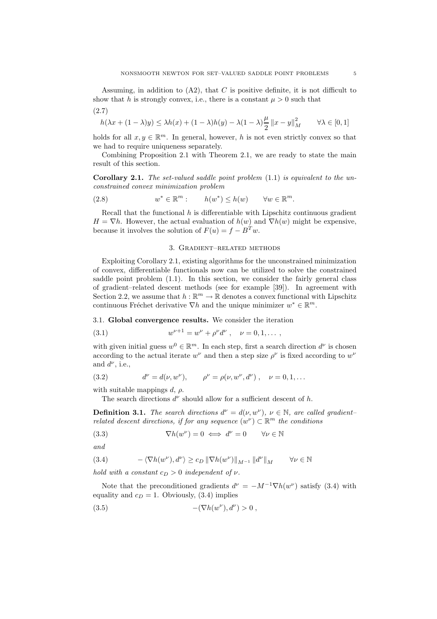Assuming, in addition to  $(A2)$ , that C is positive definite, it is not difficult to show that h is strongly convex, i.e., there is a constant  $\mu > 0$  such that

$$
h(\lambda x + (1 - \lambda)y) \le \lambda h(x) + (1 - \lambda)h(y) - \lambda(1 - \lambda)\frac{\mu}{2} ||x - y||_M^2 \qquad \forall \lambda \in [0, 1]
$$

holds for all  $x, y \in \mathbb{R}^m$ . In general, however, h is not even strictly convex so that we had to require uniqueness separately.

Combining Proposition 2.1 with Theorem 2.1, we are ready to state the main result of this section.

**Corollary 2.1.** The set-valued saddle point problem  $(1.1)$  is equivalent to the unconstrained convex minimization problem

(2.8) 
$$
w^* \in \mathbb{R}^m: \qquad h(w^*) \leq h(w) \qquad \forall w \in \mathbb{R}^m.
$$

Recall that the functional  $h$  is differentiable with Lipschitz continuous gradient  $H = \nabla h$ . However, the actual evaluation of  $h(w)$  and  $\nabla h(w)$  might be expensive, because it involves the solution of  $F(u) = f - B<sup>T</sup> w$ .

# 3. GRADIENT-RELATED METHODS

Exploiting Corollary 2.1, existing algorithms for the unconstrained minimization of convex, differentiable functionals now can be utilized to solve the constrained saddle point problem (1.1). In this section, we consider the fairly general class of gradient–related descent methods (see for example [39]). In agreement with Section 2.2, we assume that  $h : \mathbb{R}^m \to \mathbb{R}$  denotes a convex functional with Lipschitz continuous Fréchet derivative  $\nabla h$  and the unique minimizer  $w^* \in \mathbb{R}^m$ .

## 3.1. Global convergence results. We consider the iteration

(3.1) 
$$
w^{\nu+1} = w^{\nu} + \rho^{\nu} d^{\nu} , \quad \nu = 0, 1, ... ,
$$

with given initial guess  $w^0 \in \mathbb{R}^m$ . In each step, first a search direction  $d^{\nu}$  is chosen according to the actual iterate  $w^{\nu}$  and then a step size  $\rho^{\nu}$  is fixed according to  $w^{\nu}$ and  $d^{\nu}$ , i.e.,

(3.2) 
$$
d^{\nu} = d(\nu, w^{\nu}), \qquad \rho^{\nu} = \rho(\nu, w^{\nu}, d^{\nu}), \quad \nu = 0, 1, ...
$$

with suitable mappings  $d, \rho$ .

The search directions  $d^{\nu}$  should allow for a sufficient descent of h.

**Definition 3.1.** The search directions  $d^{\nu} = d(\nu, w^{\nu})$ ,  $\nu \in \mathbb{N}$ , are called gradientrelated descent directions, if for any sequence  $(w^{\nu}) \subset \mathbb{R}^{m}$  the conditions

(3.3) 
$$
\nabla h(w^{\nu}) = 0 \iff d^{\nu} = 0 \quad \forall \nu \in \mathbb{N}
$$

and

(2.7)

(3.4) 
$$
-\langle \nabla h(w^{\nu}), d^{\nu} \rangle \geq c_D \|\nabla h(w^{\nu})\|_{M^{-1}} \|d^{\nu}\|_{M} \quad \forall \nu \in \mathbb{N}
$$

hold with a constant  $c_D > 0$  independent of  $\nu$ .

Note that the preconditioned gradients  $d^{\nu} = -M^{-1} \nabla h(w^{\nu})$  satisfy (3.4) with equality and  $c_D = 1$ . Obviously, (3.4) implies

$$
(3.5) \qquad \qquad -(\nabla h(w^{\nu}), d^{\nu}) > 0 ,
$$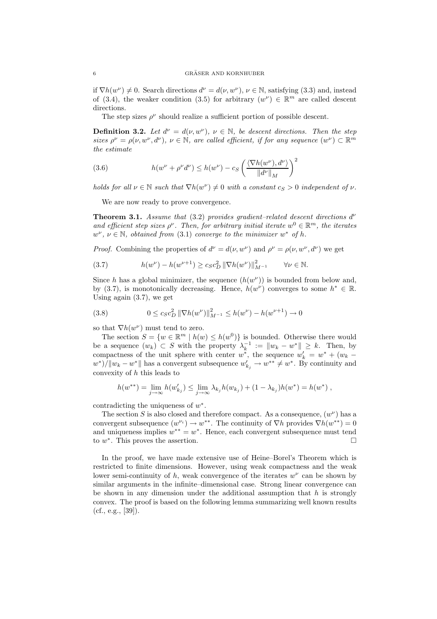if  $\nabla h(w^{\nu}) \neq 0$ . Search directions  $d^{\nu} = d(\nu, w^{\nu})$ ,  $\nu \in \mathbb{N}$ , satisfying (3.3) and, instead of (3.4), the weaker condition (3.5) for arbitrary  $(w^{\nu}) \in \mathbb{R}^m$  are called descent directions.

The step sizes  $\rho^{\nu}$  should realize a sufficient portion of possible descent.

**Definition 3.2.** Let  $d^{\nu} = d(\nu, w^{\nu})$ ,  $\nu \in \mathbb{N}$ , be descent directions. Then the step sizes  $\rho^{\nu} = \rho(\nu, w^{\nu}, d^{\nu}), \nu \in \mathbb{N}$ , are called efficient, if for any sequence  $(w^{\nu}) \subset \mathbb{R}^m$ the estimate

(3.6) 
$$
h(w^{\nu} + \rho^{\nu}d^{\nu}) \le h(w^{\nu}) - c_S \left(\frac{\langle \nabla h(w^{\nu}), d^{\nu} \rangle}{\|d^{\nu}\|_{M}}\right)^2
$$

holds for all  $\nu \in \mathbb{N}$  such that  $\nabla h(w^{\nu}) \neq 0$  with a constant  $c_S > 0$  independent of  $\nu$ .

We are now ready to prove convergence.

**Theorem 3.1.** Assume that (3.2) provides gradient-related descent directions  $d^{\nu}$ and efficient step sizes  $\rho^{\nu}$ . Then, for arbitrary initial iterate  $w^{0} \in \mathbb{R}^{m}$ , the iterates  $w^{\nu}, \nu \in \mathbb{N}$ , obtained from (3.1) converge to the minimizer  $w^*$  of h.

*Proof.* Combining the properties of  $d^{\nu} = d(\nu, w^{\nu})$  and  $\rho^{\nu} = \rho(\nu, w^{\nu}, d^{\nu})$  we get

(3.7) 
$$
h(w^{\nu}) - h(w^{\nu+1}) \ge c_S c_D^2 \|\nabla h(w^{\nu})\|_{M^{-1}}^2 \qquad \forall \nu \in \mathbb{N}.
$$

Since h has a global minimizer, the sequence  $(h(w^{\nu}))$  is bounded from below and, by (3.7), is monotonically decreasing. Hence,  $h(w^{\nu})$  converges to some  $h^* \in \mathbb{R}$ . Using again (3.7), we get

$$
(3.8) \t 0 \le c_S c_D^2 \|\nabla h(w^{\nu})\|_{M^{-1}}^2 \le h(w^{\nu}) - h(w^{\nu+1}) \to 0
$$

so that  $\nabla h(w^{\nu})$  must tend to zero.

The section  $S = \{w \in \mathbb{R}^m \mid h(w) \leq h(w^0)\}\$ is bounded. Otherwise there would be a sequence  $(w_k) \subset S$  with the property  $\lambda_k^{-1} := ||w_k - w^*|| \geq k$ . Then, by compactness of the unit sphere with center  $w^*$ , the sequence  $w'_k = w^* + (w_k$  $w^*$ // $||w_k - w^*||$  has a convergent subsequence  $w'_{k_j} \to w^{**} \neq w^*$ . By continuity and convexity of h this leads to

$$
h(w^{**}) = \lim_{j \to \infty} h(w'_{k_j}) \leq \lim_{j \to \infty} \lambda_{k_j} h(w_{k_j}) + (1 - \lambda_{k_j}) h(w^*) = h(w^*) ,
$$

contradicting the uniqueness of  $w^*$ .

The section S is also closed and therefore compact. As a consequence,  $(w^{\nu})$  has a convergent subsequence  $(w^{\nu_i}) \to w^{**}$ . The continuity of  $\nabla h$  provides  $\nabla h(w^{**}) = 0$ and uniqueness implies  $w^{**} = w^*$ . Hence, each convergent subsequence must tend to  $w^*$ . This proves the assertion.

In the proof, we have made extensive use of Heine–Borel's Theorem which is restricted to finite dimensions. However, using weak compactness and the weak lower semi-continuity of  $h$ , weak convergence of the iterates  $w^{\nu}$  can be shown by similar arguments in the infinite–dimensional case. Strong linear convergence can be shown in any dimension under the additional assumption that  $h$  is strongly convex. The proof is based on the following lemma summarizing well known results  $(cf., e.g., [39]).$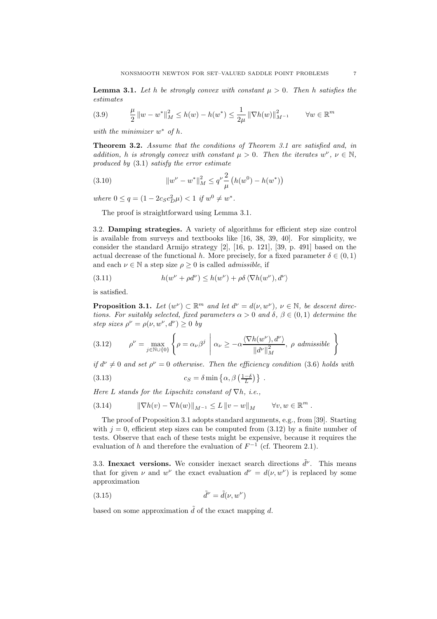**Lemma 3.1.** Let h be strongly convex with constant  $\mu > 0$ . Then h satisfies the estimates

$$
(3.9) \qquad \frac{\mu}{2} \|w - w^*\|_M^2 \le h(w) - h(w^*) \le \frac{1}{2\mu} \|\nabla h(w)\|_{M^{-1}}^2 \qquad \forall w \in \mathbb{R}^m
$$

with the minimizer  $w^*$  of h.

Theorem 3.2. Assume that the conditions of Theorem 3.1 are satisfied and, in addition, h is strongly convex with constant  $\mu > 0$ . Then the iterates  $w^{\nu}$ ,  $\nu \in \mathbb{N}$ , produced by (3.1) satisfy the error estimate

(3.10) 
$$
\|w^{\nu} - w^*\|_M^2 \le q^{\nu} \frac{2}{\mu} \left( h(w^0) - h(w^*) \right)
$$

where  $0 \le q = (1 - 2c_S c_D^2 \mu) < 1$  if  $w^0 \ne w^*$ .

The proof is straightforward using Lemma 3.1.

3.2. Damping strategies. A variety of algorithms for efficient step size control is available from surveys and textbooks like [16, 38, 39, 40]. For simplicity, we consider the standard Armijo strategy [2], [16, p. 121], [39, p. 491] based on the actual decrease of the functional h. More precisely, for a fixed parameter  $\delta \in (0, 1)$ and each  $\nu \in \mathbb{N}$  a step size  $\rho \geq 0$  is called *admissible*, if

(3.11) 
$$
h(w^{\nu} + \rho d^{\nu}) \le h(w^{\nu}) + \rho \delta \langle \nabla h(w^{\nu}), d^{\nu} \rangle
$$

is satisfied.

**Proposition 3.1.** Let  $(w^{\nu}) \subset \mathbb{R}^m$  and let  $d^{\nu} = d(\nu, w^{\nu})$ ,  $\nu \in \mathbb{N}$ , be descent directions. For suitably selected, fixed parameters  $\alpha > 0$  and  $\delta, \beta \in (0,1)$  determine the step sizes  $\rho^{\nu} = \rho(\nu, w^{\nu}, d^{\nu}) \geq 0$  by

(3.12) 
$$
\rho^{\nu} = \max_{j \in \mathbb{N} \cup \{0\}} \left\{ \rho = \alpha_{\nu} \beta^{j} \middle| \alpha_{\nu} \ge -\alpha \frac{\langle \nabla h(w^{\nu}), d^{\nu} \rangle}{\Vert d^{\nu} \Vert_{M}^{2}}, \ \rho \ \text{admissible} \right\}
$$

if  $d^{\nu} \neq 0$  and set  $\rho^{\nu} = 0$  otherwise. Then the efficiency condition (3.6) holds with

(3.13) 
$$
c_S = \delta \min \left\{ \alpha, \beta \left( \frac{1 - \delta}{L} \right) \right\} .
$$

Here L stands for the Lipschitz constant of  $\nabla h$ , i.e.,

(3.14) 
$$
\|\nabla h(v) - \nabla h(w)\|_{M^{-1}} \le L \|v - w\|_{M} \quad \forall v, w \in \mathbb{R}^m.
$$

The proof of Proposition 3.1 adopts standard arguments, e.g., from [39]. Starting with  $j = 0$ , efficient step sizes can be computed from  $(3.12)$  by a finite number of tests. Observe that each of these tests might be expensive, because it requires the evaluation of h and therefore the evaluation of  $F^{-1}$  (cf. Theorem 2.1).

3.3. Inexact versions. We consider inexact search directions  $\tilde{d}^{\nu}$ . This means that for given  $\nu$  and  $w^{\nu}$  the exact evaluation  $d^{\nu} = d(\nu, w^{\nu})$  is replaced by some approximation

$$
(3.15) \qquad \qquad \tilde{d}^{\nu} = \tilde{d}(\nu, w^{\nu})
$$

based on some approximation  $\tilde{d}$  of the exact mapping d.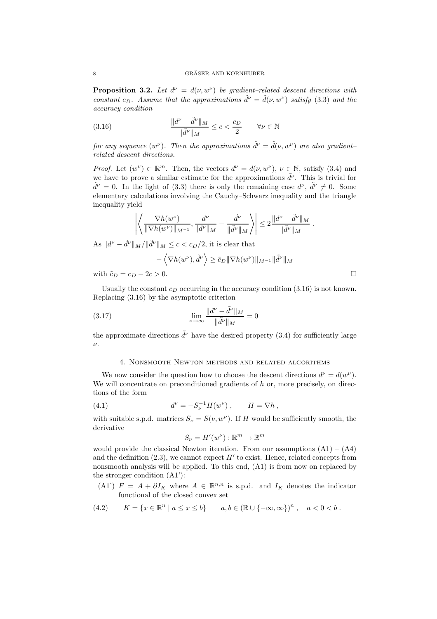**Proposition 3.2.** Let  $d^{\nu} = d(\nu, w^{\nu})$  be gradient-related descent directions with constant c<sub>D</sub>. Assume that the approximations  $\tilde{d}^{\nu} = \tilde{d}(\nu, w^{\nu})$  satisfy (3.3) and the accuracy condition

(3.16) 
$$
\frac{\|d^{\nu} - \tilde{d}^{\nu}\|_{M}}{\|\tilde{d}^{\nu}\|_{M}} \leq c < \frac{c_D}{2} \qquad \forall \nu \in \mathbb{N}
$$

for any sequence  $(w^{\nu})$ . Then the approximations  $\tilde{d}^{\nu} = \tilde{d}(\nu, w^{\nu})$  are also gradientrelated descent directions.

*Proof.* Let  $(w^{\nu}) \subset \mathbb{R}^m$ . Then, the vectors  $d^{\nu} = d(\nu, w^{\nu})$ ,  $\nu \in \mathbb{N}$ , satisfy (3.4) and we have to prove a similar estimate for the approximations  $\tilde{d}^{\nu}$ . This is trivial for  $\tilde{d}^{\nu} = 0$ . In the light of (3.3) there is only the remaining case  $d^{\nu}$ ,  $\tilde{d}^{\nu} \neq 0$ . Some elementary calculations involving the Cauchy–Schwarz inequality and the triangle inequality yield

$$
\left| \left\langle \frac{\nabla h(w^{\nu})}{\|\nabla h(w^{\nu})\|_{M^{-1}}}, \frac{d^{\nu}}{\|d^{\nu}\|_{M}} - \frac{\tilde{d}^{\nu}}{\|\tilde{d}^{\nu}\|_{M}} \right\rangle \right| \leq 2 \frac{\|d^{\nu} - \tilde{d}^{\nu}\|_{M}}{\|\tilde{d}^{\nu}\|_{M}}.
$$

As  $||d^{\nu} - \tilde{d}^{\nu}||_M / ||\tilde{d}^{\nu}||_M \leq c < c_D/2$ , it is clear that

 $-\left\langle \nabla h(w^{\nu}), \tilde{d}^{\nu}\right\rangle \geq \tilde{c}_{D}\|\nabla h(w^{\nu})\|_{M^{-1}}\|\tilde{d}^{\nu}\|_{M}$ 

with  $\tilde{c}_D = c_D - 2c > 0$ .

Usually the constant  $c_D$  occurring in the accuracy condition (3.16) is not known. Replacing (3.16) by the asymptotic criterion

(3.17) 
$$
\lim_{\nu \to \infty} \frac{\|d^{\nu} - \tilde{d}^{\nu}\|_{M}}{\|\tilde{d}^{\nu}\|_{M}} = 0
$$

the approximate directions  $\tilde{d}^{\nu}$  have the desired property (3.4) for sufficiently large  $\nu$ .

## 4. Nonsmooth Newton methods and related algorithms

We now consider the question how to choose the descent directions  $d^{\nu} = d(w^{\nu})$ . We will concentrate on preconditioned gradients of  $h$  or, more precisely, on directions of the form

(4.1) 
$$
d^{\nu} = -S_{\nu}^{-1} H(w^{\nu}), \qquad H = \nabla h,
$$

with suitable s.p.d. matrices  $S_{\nu} = S(\nu, w^{\nu})$ . If H would be sufficiently smooth, the derivative

$$
S_{\nu} = H'(w^{\nu}) : \mathbb{R}^m \to \mathbb{R}^m
$$

would provide the classical Newton iteration. From our assumptions  $(A1) - (A4)$ and the definition  $(2.3)$ , we cannot expect  $H'$  to exist. Hence, related concepts from nonsmooth analysis will be applied. To this end, (A1) is from now on replaced by the stronger condition (A1'):

(A1')  $F = A + \partial I_K$  where  $A \in \mathbb{R}^{n,n}$  is s.p.d. and  $I_K$  denotes the indicator functional of the closed convex set

$$
(4.2) \qquad K = \{x \in \mathbb{R}^n \mid a \le x \le b\} \qquad a, b \in (\mathbb{R} \cup \{-\infty, \infty\})^n \,, \quad a < 0 < b \,.
$$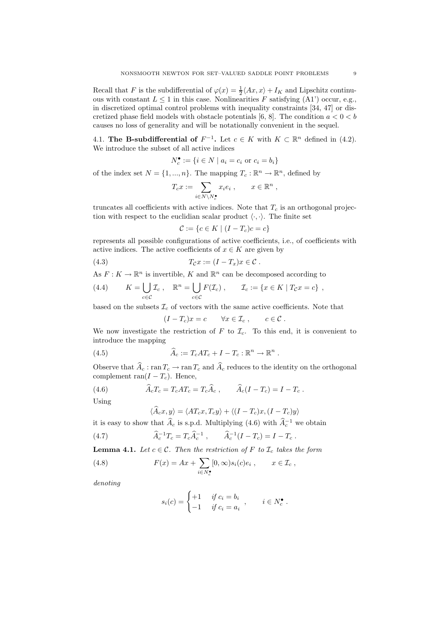Recall that F is the subdifferential of  $\varphi(x) = \frac{1}{2} \langle Ax, x \rangle + I_K$  and Lipschitz continuous with constant  $L \leq 1$  in this case. Nonlinearities F satisfying (A1') occur, e.g., in discretized optimal control problems with inequality constraints [34, 47] or discretized phase field models with obstacle potentials [6, 8]. The condition  $a < 0 < b$ causes no loss of generality and will be notationally convenient in the sequel.

4.1. The B-subdifferential of  $F^{-1}$ . Let  $c \in K$  with  $K \subset \mathbb{R}^n$  defined in (4.2). We introduce the subset of all active indices

$$
N_c^{\bullet} := \{ i \in N \mid a_i = c_i \text{ or } c_i = b_i \}
$$

of the index set  $N = \{1, ..., n\}$ . The mapping  $T_c : \mathbb{R}^n \to \mathbb{R}^n$ , defined by

$$
T_c x := \sum_{i \in N \backslash N_c^{\bullet}} x_i e_i , \qquad x \in \mathbb{R}^n ,
$$

truncates all coefficients with active indices. Note that  $T_c$  is an orthogonal projection with respect to the euclidian scalar product  $\langle \cdot, \cdot \rangle$ . The finite set

$$
\mathcal{C} := \{c \in K \mid (I - T_c)c = c\}
$$

represents all possible configurations of active coefficients, i.e., of coefficients with active indices. The active coefficients of  $x \in K$  are given by

$$
(4.3) \t T_{\mathcal{C}}x := (I - T_x)x \in \mathcal{C}.
$$

As  $F: K \to \mathbb{R}^n$  is invertible, K and  $\mathbb{R}^n$  can be decomposed according to

(4.4) 
$$
K = \bigcup_{c \in \mathcal{C}} \mathcal{I}_c, \quad \mathbb{R}^n = \bigcup_{c \in \mathcal{C}} F(\mathcal{I}_c), \qquad \mathcal{I}_c := \{x \in K \mid T_c x = c\},
$$

based on the subsets  $\mathcal{I}_c$  of vectors with the same active coefficients. Note that

$$
(I - T_c)x = c \qquad \forall x \in \mathcal{I}_c , \qquad c \in \mathcal{C} .
$$

We now investigate the restriction of  $F$  to  $\mathcal{I}_c$ . To this end, it is convenient to introduce the mapping

(4.5) 
$$
\widehat{A}_c := T_c A T_c + I - T_c : \mathbb{R}^n \to \mathbb{R}^n.
$$

Observe that  $\widehat{A}_c : \text{ran } T_c \to \text{ran } T_c$  and  $\widehat{A}_c$  reduces to the identity on the orthogonal complement ran( $I - T_c$ ). Hence,

(4.6) 
$$
\widehat{A}_c T_c = T_c A T_c = T_c \widehat{A}_c , \qquad \widehat{A}_c (I - T_c) = I - T_c .
$$

Using

$$
\langle A_c x, y \rangle = \langle AT_c x, T_c y \rangle + \langle (I - T_c)x, (I - T_c)y \rangle
$$

it is easy to show that  $\widehat{A}_c$  is s.p.d. Multiplying (4.6) with  $\widehat{A}_c^{-1}$  we obtain

(4.7) 
$$
\widehat{A}_c^{-1}T_c = T_c \widehat{A}_c^{-1} , \qquad \widehat{A}_c^{-1}(I - T_c) = I - T_c .
$$

**Lemma 4.1.** Let  $c \in \mathcal{C}$ . Then the restriction of F to  $\mathcal{I}_c$  takes the form

(4.8) 
$$
F(x) = Ax + \sum_{i \in N_c^{\bullet}} [0, \infty) s_i(c) e_i , \qquad x \in \mathcal{I}_c ,
$$

denoting

$$
s_i(c) = \begin{cases} +1 & \text{if } c_i = b_i \\ -1 & \text{if } c_i = a_i \end{cases}, \quad i \in N_c^{\bullet}.
$$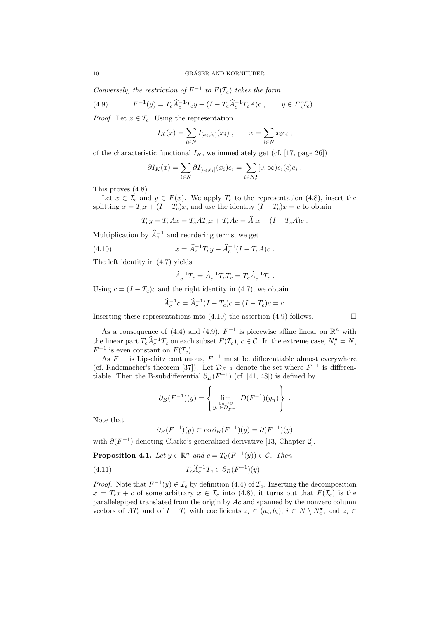Conversely, the restriction of  $F^{-1}$  to  $F(\mathcal{I}_c)$  takes the form

(4.9) 
$$
F^{-1}(y) = T_c \hat{A}_c^{-1} T_c y + (I - T_c \hat{A}_c^{-1} T_c A) c, \qquad y \in F(\mathcal{I}_c).
$$

*Proof.* Let  $x \in \mathcal{I}_c$ . Using the representation

$$
I_K(x) = \sum_{i \in N} I_{[a_i, b_i]}(x_i)
$$
,  $x = \sum_{i \in N} x_i e_i$ ,

of the characteristic functional  $I_K$ , we immediately get (cf. [17, page 26])

$$
\partial I_K(x) = \sum_{i \in N} \partial I_{[a_i, b_i]}(x_i) e_i = \sum_{i \in N_c^{\bullet}} [0, \infty) s_i(c) e_i.
$$

This proves (4.8).

Let  $x \in \mathcal{I}_c$  and  $y \in F(x)$ . We apply  $T_c$  to the representation (4.8), insert the splitting  $x = T_c x + (I - T_c)x$ , and use the identity  $(I - T_c)x = c$  to obtain

$$
T_c y = T_c A x = T_c A T_c x + T_c A c = \widehat{A}_c x - (I - T_c A) c.
$$

Multiplication by  $\hat{A}_c^{-1}$  and reordering terms, we get

(4.10) 
$$
x = \widehat{A}_c^{-1} T_c y + \widehat{A}_c^{-1} (I - T_c A) c.
$$

The left identity in (4.7) yields

$$
\widehat{A}_c^{-1}T_c = \widehat{A}_c^{-1}T_cT_c = T_c\widehat{A}_c^{-1}T_c.
$$

Using  $c = (I - T_c)c$  and the right identity in (4.7), we obtain

$$
\widehat{A}_c^{-1}c = \widehat{A}_c^{-1}(I - T_c)c = (I - T_c)c = c.
$$

Inserting these representations into (4.10) the assertion (4.9) follows.

As a consequence of (4.4) and (4.9),  $F^{-1}$  is piecewise affine linear on  $\mathbb{R}^n$  with the linear part  $T_c \hat{A}_c^{-1} T_c$  on each subset  $F(\mathcal{I}_c)$ ,  $c \in \mathcal{C}$ . In the extreme case,  $N_c^{\bullet} = N$ ,  $F^{-1}$  is even constant on  $F(\mathcal{I}_c)$ .

As  $F^{-1}$  is Lipschitz continuous,  $F^{-1}$  must be differentiable almost everywhere (cf. Rademacher's theorem [37]). Let  $\mathcal{D}_{F^{-1}}$  denote the set where  $F^{-1}$  is differentiable. Then the B-subdifferential  $\partial_B(F^{-1})$  (cf. [41, 48]) is defined by

$$
\partial_B(F^{-1})(y) = \left\{ \lim_{\substack{y_n \to y \\ y_n \in \mathcal{D}_{F^{-1}}}} D(F^{-1})(y_n) \right\} .
$$

Note that

$$
\partial_B(F^{-1})(y) \subset \operatorname{co} \partial_B(F^{-1})(y) = \partial(F^{-1})(y)
$$

with  $\partial(F^{-1})$  denoting Clarke's generalized derivative [13, Chapter 2].

**Proposition 4.1.** Let  $y \in \mathbb{R}^n$  and  $c = T_{\mathcal{C}}(F^{-1}(y)) \in \mathcal{C}$ . Then

(4.11) 
$$
T_c \hat{A}_c^{-1} T_c \in \partial_B(F^{-1})(y) .
$$

*Proof.* Note that  $F^{-1}(y) \in \mathcal{I}_c$  by definition (4.4) of  $\mathcal{I}_c$ . Inserting the decomposition  $x = T_c x + c$  of some arbitrary  $x \in \mathcal{I}_c$  into (4.8), it turns out that  $F(\mathcal{I}_c)$  is the parallelepiped translated from the origin by Ac and spanned by the nonzero column vectors of  $AT_c$  and of  $I - T_c$  with coefficients  $z_i \in (a_i, b_i), i \in N \setminus N_c^{\bullet}$ , and  $z_i \in$ 

$$
\Box
$$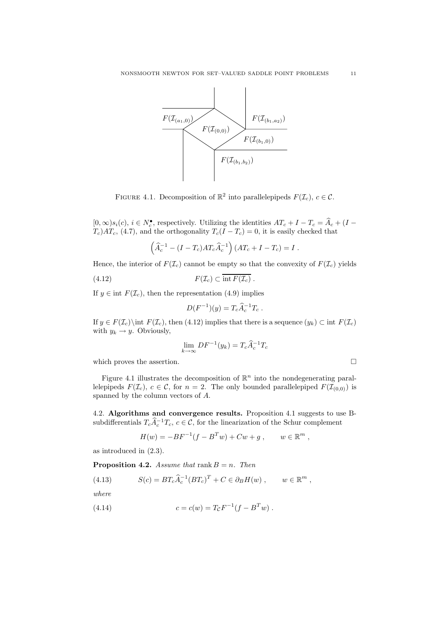

FIGURE 4.1. Decomposition of  $\mathbb{R}^2$  into parallelepipeds  $F(\mathcal{I}_c)$ ,  $c \in \mathcal{C}$ .

 $[0,\infty)s_i(c), i \in N_c^{\bullet}$ , respectively. Utilizing the identities  $AT_c + I - T_c = \hat{A}_c + (I T_c$ )A $T_c$ , (4.7), and the orthogonality  $T_c(I - T_c) = 0$ , it is easily checked that

$$
\left(\widehat{A}_c^{-1} - (I - T_c)AT_c \widehat{A}_c^{-1}\right)(AT_c + I - T_c) = I.
$$

Hence, the interior of  $F(\mathcal{I}_c)$  cannot be empty so that the convexity of  $F(\mathcal{I}_c)$  yields

$$
(4.12) \t\t\t F(\mathcal{I}_c) \subset \overline{\mathrm{int}\, F(\mathcal{I}_c)}\ .
$$

If  $y \in \text{int } F(\mathcal{I}_c)$ , then the representation (4.9) implies

$$
D(F^{-1})(y) = T_c \widehat{A}_c^{-1} T_c.
$$

If  $y \in F(\mathcal{I}_c)$  int  $F(\mathcal{I}_c)$ , then (4.12) implies that there is a sequence  $(y_k) \subset \text{int } F(\mathcal{I}_c)$ with  $y_k \to y$ . Obviously,

$$
\lim_{k \to \infty} DF^{-1}(y_k) = T_c \widehat{A}_c^{-1} T_c
$$

which proves the assertion.  $\hfill \square$ 

Figure 4.1 illustrates the decomposition of  $\mathbb{R}^n$  into the nondegenerating parallelepipeds  $F(\mathcal{I}_c)$ ,  $c \in \mathcal{C}$ , for  $n = 2$ . The only bounded parallelepiped  $F(\mathcal{I}_{(0,0)})$  is spanned by the column vectors of A.

4.2. Algorithms and convergence results. Proposition 4.1 suggests to use Bsubdifferentials  $T_c \hat{A}_c^{-1} T_c$ ,  $c \in \mathcal{C}$ , for the linearization of the Schur complement

$$
H(w) = -BF^{-1}(f - B^T w) + Cw + g , \qquad w \in \mathbb{R}^m ,
$$

as introduced in (2.3).

**Proposition 4.2.** Assume that rank  $B = n$ . Then

(4.13) 
$$
S(c) = BT_c \widehat{A}_c^{-1} (BT_c)^T + C \in \partial_B H(w) , \qquad w \in \mathbb{R}^m ,
$$

where

(4.14) 
$$
c = c(w) = T_{\mathcal{C}} F^{-1} (f - B^T w) .
$$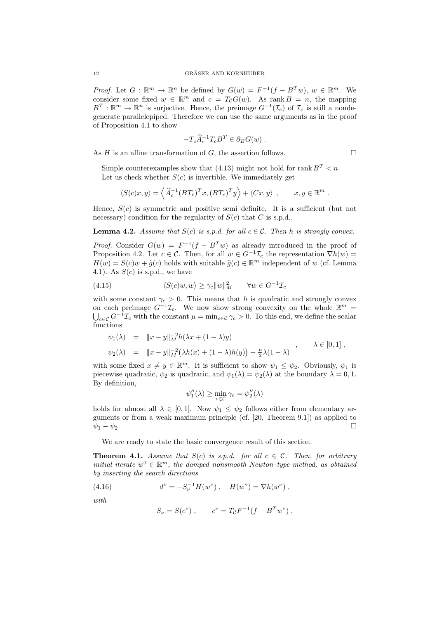*Proof.* Let  $G : \mathbb{R}^m \to \mathbb{R}^n$  be defined by  $G(w) = F^{-1}(f - B^Tw), w \in \mathbb{R}^m$ . We consider some fixed  $w \in \mathbb{R}^m$  and  $c = T_cG(w)$ . As rank  $B = n$ , the mapping  $B^T: \mathbb{R}^m \to \mathbb{R}^n$  is surjective. Hence, the preimage  $G^{-1}(\mathcal{I}_c)$  of  $\mathcal{I}_c$  is still a nondegenerate parallelepiped. Therefore we can use the same arguments as in the proof of Proposition 4.1 to show

$$
-T_c \widehat{A}_c^{-1} T_c B^T \in \partial_B G(w) .
$$

As  $H$  is an affine transformation of  $G$ , the assertion follows.

$$
\qquad \qquad \Box
$$

Simple counterexamples show that (4.13) might not hold for rank  $B<sup>T</sup> < n$ . Let us check whether  $S(c)$  is invertible. We immediately get

$$
\langle S(c)x, y \rangle = \left\langle \widehat{A}_c^{-1} (BT_c)^T x, (BT_c)^T y \right\rangle + \left\langle Cx, y \right\rangle , \qquad x, y \in \mathbb{R}^m .
$$

Hence,  $S(c)$  is symmetric and positive semi-definite. It is a sufficient (but not necessary) condition for the regularity of  $S(c)$  that C is s.p.d..

**Lemma 4.2.** Assume that  $S(c)$  is s.p.d. for all  $c \in \mathcal{C}$ . Then h is strongly convex.

*Proof.* Consider  $G(w) = F^{-1}(f - B^Tw)$  as already introduced in the proof of Proposition 4.2. Let  $c \in \mathcal{C}$ . Then, for all  $w \in G^{-1}\mathcal{I}_c$  the representation  $\nabla h(w)$  $H(w) = S(c)w + \tilde{g}(c)$  holds with suitable  $\tilde{g}(c) \in \mathbb{R}^m$  independent of w (cf. Lemma 4.1). As  $S(c)$  is s.p.d., we have

(4.15) 
$$
\langle S(c)w, w \rangle \ge \gamma_c \|w\|_M^2 \qquad \forall w \in G^{-1}\mathcal{I}_c
$$

with some constant  $\gamma_c > 0$ . This means that h is quadratic and strongly convex on each preimage  $G^{-1}\mathcal{I}_c$ . We now show strong convexity on the whole  $\mathbb{R}^m$  =  $\bigcup_{c \in \mathcal{C}} G^{-1} \mathcal{I}_c$  with the constant  $\mu = \min_{c \in \mathcal{C}} \gamma_c > 0$ . To this end, we define the scalar functions

$$
\psi_1(\lambda) = ||x - y||_M^{-2} h(\lambda x + (1 - \lambda)y)
$$
  
\n
$$
\psi_2(\lambda) = ||x - y||_M^{-2} (\lambda h(x) + (1 - \lambda)h(y)) - \frac{\mu}{2}\lambda(1 - \lambda)
$$
,  $\lambda \in [0, 1],$ 

with some fixed  $x \neq y \in \mathbb{R}^m$ . It is sufficient to show  $\psi_1 \leq \psi_2$ . Obviously,  $\psi_1$  is piecewise quadratic,  $\psi_2$  is quadratic, and  $\psi_1(\lambda) = \psi_2(\lambda)$  at the boundary  $\lambda = 0, 1$ . By definition,

$$
\psi_1''(\lambda) \ge \min_{c \in \mathcal{C}} \gamma_c = \psi_2''(\lambda)
$$

holds for almost all  $\lambda \in [0,1]$ . Now  $\psi_1 \leq \psi_2$  follows either from elementary arguments or from a weak maximum principle (cf. [20, Theorem 9.1]) as applied to  $\psi_1 - \psi_2$ .

We are ready to state the basic convergence result of this section.

**Theorem 4.1.** Assume that  $S(c)$  is s.p.d. for all  $c \in C$ . Then, for arbitrary initial iterate  $w^0 \in \mathbb{R}^m$ , the damped nonsmooth Newton-type method, as obtained by inserting the search directions

(4.16) 
$$
d^{\nu} = -S_{\nu}^{-1} H(w^{\nu}) , \quad H(w^{\nu}) = \nabla h(w^{\nu}) ,
$$

with

$$
S_{\nu} = S(c^{\nu})
$$
,  $c^{\nu} = T_{\mathcal{C}} F^{-1} (f - B^T w^{\nu})$ ,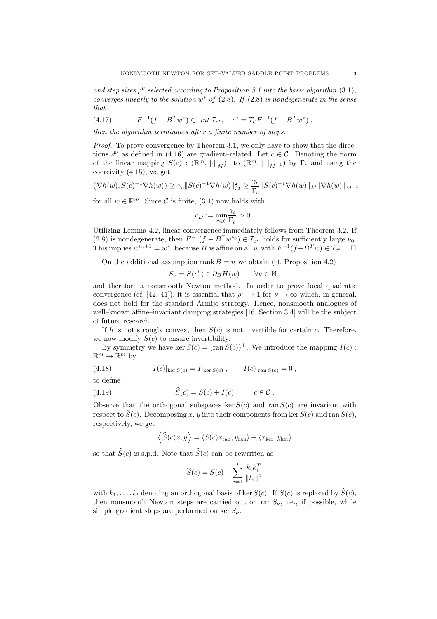and step sizes  $\rho^{\nu}$  selected according to Proposition 3.1 into the basic algorithm (3.1), converges linearly to the solution  $w^*$  of  $(2.8)$ . If  $(2.8)$  is nondegenerate in the sense that

$$
(4.17) \tF^{-1}(f - B^T w^*) \in \int^{\infty} u^* \mathcal{I}_{c^*}, \quad c^* = T_c F^{-1}(f - B^T w^*) ,
$$

then the algorithm terminates after a finite number of steps.

Proof. To prove convergence by Theorem 3.1, we only have to show that the directions  $d^{\nu}$  as defined in (4.16) are gradient–related. Let  $c \in \mathcal{C}$ . Denoting the norm of the linear mapping  $S(c)$ :  $(\mathbb{R}^m, \|\cdot\|_M)$  to  $(\mathbb{R}^m, \|\cdot\|_{M^{-1}})$  by  $\Gamma_c$  and using the coercivity (4.15), we get

$$
\langle \nabla h(w), S(c)^{-1} \nabla h(w) \rangle \ge \gamma_c \| S(c)^{-1} \nabla h(w) \|_M^2 \ge \frac{\gamma_c}{\Gamma_c} \| S(c)^{-1} \nabla h(w) \|_M \| \nabla h(w) \|_{M^{-1}}
$$

for all  $w \in \mathbb{R}^m$ . Since C is finite, (3.4) now holds with

$$
c_D := \min_{c \in \mathcal{C}} \frac{\gamma_c}{\Gamma_c} > 0.
$$

Utilizing Lemma 4.2, linear convergence immediately follows from Theorem 3.2. If (2.8) is nondegenerate, then  $F^{-1}(f - B^T w^{\nu_0}) \in \mathcal{I}_{c^*}$  holds for sufficiently large  $\nu_0$ . This implies  $w^{\nu_0+1} = w^*$ , because H is affine on all w with  $F^{-1}(f - B^Tw) \in \mathcal{I}_{c^*}$ .  $\Box$ 

On the additional assumption rank  $B = n$  we obtain (cf. Proposition 4.2)

$$
S_{\nu} = S(c^{\nu}) \in \partial_B H(w) \qquad \forall \nu \in \mathbb{N},
$$

and therefore a nonsmooth Newton method. In order to prove local quadratic convergence (cf. [42, 41]), it is essential that  $\rho^{\nu} \to 1$  for  $\nu \to \infty$  which, in general, does not hold for the standard Armijo strategy. Hence, nonsmooth analogues of well–known affine–invariant damping strategies [16, Section 3.4] will be the subject of future research.

If h is not strongly convex, then  $S(c)$  is not invertible for certain c. Therefore, we now modify  $S(c)$  to ensure invertibility.

By symmetry we have ker  $S(c) = (\text{ran } S(c))^{\perp}$ . We introduce the mapping  $I(c)$ :  $\mathbb{R}^m \to \mathbb{R}^m$  by

(4.18) 
$$
I(c)|_{\ker S(c)} = I|_{\ker S(c)}, \qquad I(c)|_{\operatorname{ran} S(c)} = 0,
$$

to define

(4.19) 
$$
\widehat{S}(c) = S(c) + I(c), \qquad c \in \mathcal{C}.
$$

Observe that the orthogonal subspaces ker  $S(c)$  and ran  $S(c)$  are invariant with respect to  $\widehat{S}(c)$ . Decomposing x, y into their components from ker  $S(c)$  and ran  $S(c)$ , respectively, we get

$$
\langle \hat{S}(c)x, y \rangle = \langle S(c)x_{\text{ran}}, y_{\text{ran}} \rangle + \langle x_{\text{ker}}, y_{\text{ker}} \rangle
$$

so that  $\widehat{S}(c)$  is s.p.d. Note that  $\widehat{S}(c)$  can be rewritten as

$$
\widehat{S}(c) = S(c) + \sum_{i=1}^{l} \frac{k_i k_i^T}{\|k_i\|^2}
$$

with  $k_1, \ldots, k_l$  denoting an orthogonal basis of ker  $S(c)$ . If  $S(c)$  is replaced by  $S(c)$ , then nonsmooth Newton steps are carried out on  $ran S_{\nu}$ , i.e., if possible, while simple gradient steps are performed on ker  $S_{\nu}$ .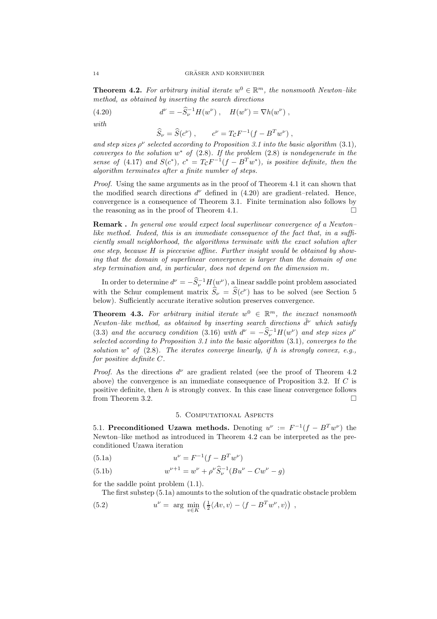**Theorem 4.2.** For arbitrary initial iterate  $w^0 \in \mathbb{R}^m$ , the nonsmooth Newton-like method, as obtained by inserting the search directions

(4.20) 
$$
d^{\nu} = -\widehat{S}_{\nu}^{-1} H(w^{\nu}) , \quad H(w^{\nu}) = \nabla h(w^{\nu}) ,
$$

with

 $\widehat{S}_{\nu} = \widehat{S}(c^{\nu})$ ,  $c^{\nu} = T_{\mathcal{C}} F^{-1}(f - B^T w^{\nu})$ ,

and step sizes  $\rho^{\nu}$  selected according to Proposition 3.1 into the basic algorithm (3.1), converges to the solution  $w^*$  of  $(2.8)$ . If the problem  $(2.8)$  is nondegenerate in the sense of (4.17) and  $S(c^*)$ ,  $c^* = T_c F^{-1}(f - B^T w^*)$ , is positive definite, then the algorithm terminates after a finite number of steps.

Proof. Using the same arguments as in the proof of Theorem 4.1 it can shown that the modified search directions  $d^{\nu}$  defined in (4.20) are gradient-related. Hence, convergence is a consequence of Theorem 3.1. Finite termination also follows by the reasoning as in the proof of Theorem 4.1.  $\Box$ 

Remark . In general one would expect local superlinear convergence of a Newtonlike method. Indeed, this is an immediate consequence of the fact that, in a sufficiently small neighborhood, the algorithms terminate with the exact solution after one step, because H is piecewise affine. Further insight would be obtained by showing that the domain of superlinear convergence is larger than the domain of one step termination and, in particular, does not depend on the dimension m.

In order to determine  $d^{\nu} = -\hat{S}_{\nu}^{-1} H(w^{\nu})$ , a linear saddle point problem associated with the Schur complement matrix  $\hat{S}_{\nu} = \hat{S}(c^{\nu})$  has to be solved (see Section 5 below). Sufficiently accurate iterative solution preserves convergence.

**Theorem 4.3.** For arbitrary initial iterate  $w^0 \in \mathbb{R}^m$ , the inexact nonsmooth Newton–like method, as obtained by inserting search directions  $\tilde{d}^{\nu}$  which satisfy (3.3) and the accuracy condition (3.16) with  $d^{\nu} = -\hat{S}_{\nu}^{-1}H(w^{\nu})$  and step sizes  $\rho^{\nu}$ selected according to Proposition 3.1 into the basic algorithm (3.1), converges to the solution  $w^*$  of (2.8). The iterates converge linearly, if h is strongly convex, e.g., for positive definite C.

*Proof.* As the directions  $d^{\nu}$  are gradient related (see the proof of Theorem 4.2 above) the convergence is an immediate consequence of Proposition 3.2. If C is positive definite, then  $h$  is strongly convex. In this case linear convergence follows from Theorem 3.2.

# 5. Computational Aspects

5.1. Preconditioned Uzawa methods. Denoting  $u^{\nu} := F^{-1}(f - B^T w^{\nu})$  the Newton–like method as introduced in Theorem 4.2 can be interpreted as the preconditioned Uzawa iteration

(5.1a) 
$$
u^{\nu} = F^{-1}(f - B^T w^{\nu})
$$

(5.1b) 
$$
w^{\nu+1} = w^{\nu} + \rho^{\nu} \widehat{S}_{\nu}^{-1} (B u^{\nu} - C w^{\nu} - g)
$$

for the saddle point problem (1.1).

The first substep (5.1a) amounts to the solution of the quadratic obstacle problem

(5.2) 
$$
u^{\nu} = \arg \min_{v \in K} \left( \frac{1}{2} \langle Av, v \rangle - \langle f - B^T w^{\nu}, v \rangle \right) ,
$$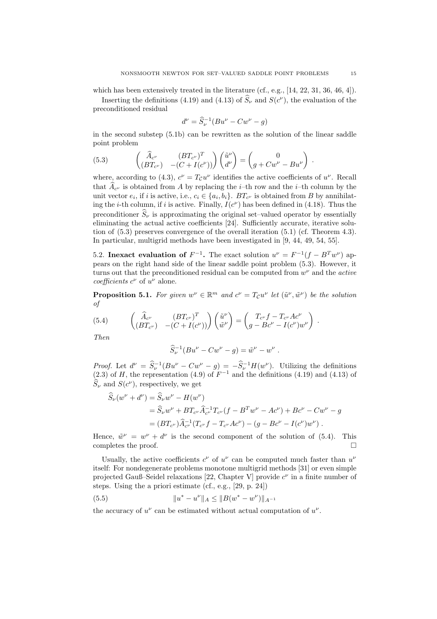which has been extensively treated in the literature  $(cf., e.g., [14, 22, 31, 36, 46, 4]).$ 

Inserting the definitions (4.19) and (4.13) of  $\widehat{S}_{\nu}$  and  $S(c^{\nu})$ , the evaluation of the preconditioned residual

$$
d^{\nu} = \hat{S}_{\nu}^{-1} (Bu^{\nu} - Cw^{\nu} - g)
$$

in the second substep (5.1b) can be rewritten as the solution of the linear saddle point problem

(5.3) 
$$
\begin{pmatrix}\n\widehat{A}_{c^{\nu}} & (BT_{c^{\nu}})^{T} \\
(BT_{c^{\nu}}) & -(C + I(c^{\nu}))\n\end{pmatrix}\n\begin{pmatrix}\n\widetilde{u}^{\nu} \\
d^{\nu}\n\end{pmatrix} =\n\begin{pmatrix}\n0 \\
g + Cw^{\nu} - Bu^{\nu}\n\end{pmatrix}.
$$

where, according to (4.3),  $c^{\nu} = T_{\mathcal{C}} u^{\nu}$  identifies the active coefficients of  $u^{\nu}$ . Recall that  $A_{c^{\nu}}$  is obtained from A by replacing the *i*–th row and the *i*–th column by the unit vector  $e_i$ , if i is active, i.e.,  $c_i \in \{a_i, b_i\}$ .  $BT_{c^{\nu}}$  is obtained from B by annihilating the *i*-th column, if *i* is active. Finally,  $I(c^{\nu})$  has been defined in (4.18). Thus the preconditioner  $\hat{S}_{\nu}$  is approximating the original set–valued operator by essentially eliminating the actual active coefficients [24]. Sufficiently accurate, iterative solution of (5.3) preserves convergence of the overall iteration (5.1) (cf. Theorem 4.3). In particular, multigrid methods have been investigated in [9, 44, 49, 54, 55].

5.2. Inexact evaluation of  $F^{-1}$ . The exact solution  $u^{\nu} = F^{-1}(f - B^{T}w^{\nu})$  appears on the right hand side of the linear saddle point problem (5.3). However, it turns out that the preconditioned residual can be computed from  $w^{\nu}$  and the *active* coefficients  $c^{\nu}$  of  $u^{\nu}$  alone.

**Proposition 5.1.** For given  $w^{\nu} \in \mathbb{R}^m$  and  $c^{\nu} = T_{\mathcal{C}} u^{\nu}$  let  $(\tilde{u}^{\nu}, \tilde{w}^{\nu})$  be the solution of

(5.4) 
$$
\begin{pmatrix}\n\widehat{A}_{c^{\nu}} & (BT_{c^{\nu}})^{T} \\
(BT_{c^{\nu}}) & -(C+I(c^{\nu}))\n\end{pmatrix}\n\begin{pmatrix}\n\tilde{u}^{\nu} \\
\tilde{w}^{\nu}\n\end{pmatrix} =\n\begin{pmatrix}\nT_{c^{\nu}}f - T_{c^{\nu}}A c^{\nu} \\
g - B c^{\nu} - I(c^{\nu})w^{\nu}\n\end{pmatrix}.
$$

Then

$$
\widehat{S}_{\nu}^{-1}(Bu^{\nu} - Cw^{\nu} - g) = \tilde{w}^{\nu} - w^{\nu} .
$$

*Proof.* Let  $d^{\nu} = \hat{S}_{\nu}^{-1}(Bu^{\nu} - Cw^{\nu} - g) = -\hat{S}_{\nu}^{-1}H(w^{\nu})$ . Utilizing the definitions  $(2.3)$  of H, the representation  $(4.9)$  of  $F^{-1}$  and the definitions  $(4.19)$  and  $(4.13)$  of  $\widehat{S}_{\nu}$  and  $S(c^{\nu})$ , respectively, we get

$$
\widehat{S}_{\nu}(w^{\nu} + d^{\nu}) = \widehat{S}_{\nu}w^{\nu} - H(w^{\nu})
$$
  
=  $\widehat{S}_{\nu}w^{\nu} + BT_{c^{\nu}}\widehat{A}_{c^{\nu}}^{-1}T_{c^{\nu}}(f - B^{T}w^{\nu} - Ac^{\nu}) + Bc^{\nu} - Cw^{\nu} - g$   
=  $(BT_{c^{\nu}})\widehat{A}_{c^{\nu}}^{-1}(T_{c^{\nu}}f - T_{c^{\nu}}Ac^{\nu}) - (g - Bc^{\nu} - I(c^{\nu})w^{\nu}).$ 

Hence,  $\tilde{w}^{\nu} = w^{\nu} + d^{\nu}$  is the second component of the solution of (5.4). This completes the proof.  $\Box$ 

Usually, the active coefficients  $c^{\nu}$  of  $u^{\nu}$  can be computed much faster than  $u^{\nu}$ itself: For nondegenerate problems monotone multigrid methods [31] or even simple projected Gauß–Seidel relaxations [22, Chapter V] provide  $c^{\nu}$  in a finite number of steps. Using the a priori estimate (cf., e.g., [29, p. 24])

(5.5) 
$$
||u^* - u^{\nu}||_A \le ||B(w^* - w^{\nu})||_{A^{-1}}
$$

the accuracy of  $u^{\nu}$  can be estimated without actual computation of  $u^{\nu}$ .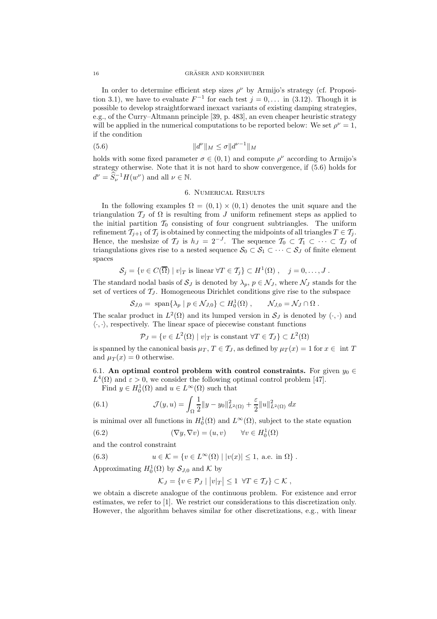In order to determine efficient step sizes  $\rho^{\nu}$  by Armijo's strategy (cf. Proposition 3.1), we have to evaluate  $F^{-1}$  for each test  $j = 0, \ldots$  in (3.12). Though it is possible to develop straightforward inexact variants of existing damping strategies, e.g., of the Curry–Altmann principle [39, p. 483], an even cheaper heuristic strategy will be applied in the numerical computations to be reported below: We set  $\rho^{\nu} = 1$ , if the condition

(5.6) 
$$
||d^{\nu}||_M \leq \sigma ||d^{\nu-1}||_M
$$

holds with some fixed parameter  $\sigma \in (0,1)$  and compute  $\rho^{\nu}$  according to Armijo's strategy otherwise. Note that it is not hard to show convergence, if (5.6) holds for  $d^{\nu} = \widehat{S}_{\nu}^{-1}H(w^{\nu})$  and all  $\nu \in \mathbb{N}$ .

# 6. Numerical Results

In the following examples  $\Omega = (0,1) \times (0,1)$  denotes the unit square and the triangulation  $\mathcal{T}_J$  of  $\Omega$  is resulting from J uniform refinement steps as applied to the initial partition  $\mathcal{T}_0$  consisting of four congruent subtriangles. The uniform refinement  $\mathcal{T}_{j+1}$  of  $\mathcal{T}_j$  is obtained by connecting the midpoints of all triangles  $T \in \mathcal{T}_j$ . Hence, the meshsize of  $\mathcal{T}_J$  is  $h_J = 2^{-J}$ . The sequence  $\mathcal{T}_0 \subset \mathcal{T}_1 \subset \cdots \subset \mathcal{T}_J$  of triangulations gives rise to a nested sequence  $S_0 \subset S_1 \subset \cdots \subset S_J$  of finite element spaces

$$
\mathcal{S}_j = \{ v \in C(\overline{\Omega}) \mid v|_T \text{ is linear } \forall T \in \mathcal{T}_j \} \subset H^1(\Omega) , \quad j = 0, \dots, J .
$$

The standard nodal basis of  $S_J$  is denoted by  $\lambda_p$ ,  $p \in \mathcal{N}_J$ , where  $\mathcal{N}_J$  stands for the set of vertices of  $\mathcal{T}_J$ . Homogeneous Dirichlet conditions give rise to the subspace

$$
\mathcal{S}_{J,0} = \text{ span}\{\lambda_p \mid p \in \mathcal{N}_{J,0}\} \subset H_0^1(\Omega) , \qquad \mathcal{N}_{J,0} = \mathcal{N}_J \cap \Omega .
$$

The scalar product in  $L^2(\Omega)$  and its lumped version in  $S_J$  is denoted by  $(\cdot, \cdot)$  and  $\langle \cdot, \cdot \rangle$ , respectively. The linear space of piecewise constant functions

$$
\mathcal{P}_J = \{ v \in L^2(\Omega) \mid v|_T \text{ is constant } \forall T \in \mathcal{T}_J \} \subset L^2(\Omega)
$$

is spanned by the canonical basis  $\mu_T$ ,  $T \in \mathcal{T}_J$ , as defined by  $\mu_T(x) = 1$  for  $x \in \mathcal{T}_J$ and  $\mu_T(x) = 0$  otherwise.

6.1. An optimal control problem with control constraints. For given  $y_0 \in$  $L^4(\Omega)$  and  $\varepsilon > 0$ , we consider the following optimal control problem [47].

Find  $y \in H_0^1(\Omega)$  and  $u \in L^\infty(\Omega)$  such that

(6.1) 
$$
\mathcal{J}(y, u) = \int_{\Omega} \frac{1}{2} ||y - y_0||_{L^2(\Omega)}^2 + \frac{\varepsilon}{2} ||u||_{L^2(\Omega)}^2 dx
$$

is minimal over all functions in  $H_0^1(\Omega)$  and  $L^{\infty}(\Omega)$ , subject to the state equation

(6.2) 
$$
(\nabla y, \nabla v) = (u, v) \qquad \forall v \in H_0^1(\Omega)
$$

and the control constraint

(6.3) 
$$
u \in \mathcal{K} = \{v \in L^{\infty}(\Omega) \mid |v(x)| \leq 1, \text{ a.e. in } \Omega \}.
$$

Approximating  $H_0^1(\Omega)$  by  $\mathcal{S}_{J,0}$  and K by

$$
\mathcal{K}_J = \{ v \in \mathcal{P}_J \mid |v|_T \leq 1 \ \forall T \in \mathcal{T}_J \} \subset \mathcal{K} ,
$$

we obtain a discrete analogue of the continuous problem. For existence and error estimates, we refer to [1]. We restrict our considerations to this discretization only. However, the algorithm behaves similar for other discretizations, e.g., with linear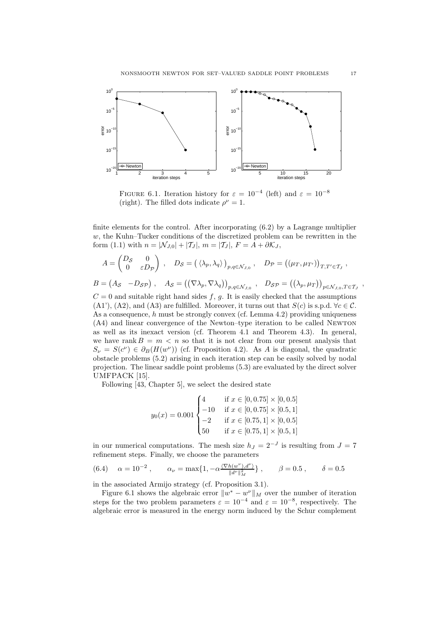

FIGURE 6.1. Iteration history for  $\varepsilon = 10^{-4}$  (left) and  $\varepsilon = 10^{-8}$ (right). The filled dots indicate  $\rho^{\nu} = 1$ .

finite elements for the control. After incorporating  $(6.2)$  by a Lagrange multiplier w, the Kuhn–Tucker conditions of the discretized problem can be rewritten in the form (1.1) with  $n = |\mathcal{N}_{J,0}| + |\mathcal{T}_J|$ ,  $m = |\mathcal{T}_J|$ ,  $F = A + \partial \mathcal{K}_J$ ,

$$
A = \begin{pmatrix} D_{\mathcal{S}} & 0 \\ 0 & \varepsilon D_{\mathcal{P}} \end{pmatrix} , \quad D_{\mathcal{S}} = \left( \langle \lambda_p, \lambda_q \rangle \right)_{p,q \in \mathcal{N}_{J,0}}, \quad D_{\mathcal{P}} = \left( (\mu_T, \mu_{T'}) \right)_{T,T' \in \mathcal{T}_J},
$$

 $B = (A_{\mathcal{S}} - D_{\mathcal{S}\mathcal{P}})$ ,  $A_{\mathcal{S}} = ((\nabla \lambda_p, \nabla \lambda_q))_{p,q \in \mathcal{N}_{J,0}}$ ,  $D_{\mathcal{S}\mathcal{P}} = ((\lambda_p, \mu_T))_{p \in \mathcal{N}_{J,0}, T \in \mathcal{T}_J}$ ,  $C = 0$  and suitable right hand sides f, g. It is easily checked that the assumptions (A1'), (A2), and (A3) are fulfilled. Moreover, it turns out that  $S(c)$  is s.p.d.  $\forall c \in C$ . As a consequence, h must be strongly convex (cf. Lemma 4.2) providing uniqueness (A4) and linear convergence of the Newton–type iteration to be called Newton as well as its inexact version (cf. Theorem 4.1 and Theorem 4.3). In general, we have rank  $B = m < n$  so that it is not clear from our present analysis that  $S_{\nu} = S(c^{\nu}) \in \partial_B(H(w^{\nu}))$  (cf. Proposition 4.2). As A is diagonal, the quadratic obstacle problems (5.2) arising in each iteration step can be easily solved by nodal projection. The linear saddle point problems (5.3) are evaluated by the direct solver

UMFPACK [15]. Following [43, Chapter 5], we select the desired state

$$
y_0(x) = 0.001 \begin{cases} 4 & \text{if } x \in [0, 0.75] \times [0, 0.5] \\ -10 & \text{if } x \in [0, 0.75] \times [0.5, 1] \\ -2 & \text{if } x \in [0.75, 1] \times [0, 0.5] \\ 50 & \text{if } x \in [0.75, 1] \times [0.5, 1] \end{cases}
$$

in our numerical computations. The mesh size  $h_J = 2^{-J}$  is resulting from  $J = 7$ refinement steps. Finally, we choose the parameters

(6.4) 
$$
\alpha = 10^{-2}
$$
,  $\alpha_{\nu} = \max\{1, -\alpha \frac{\langle \nabla h(w^{\nu}), d^{\nu} \rangle}{\|d^{\nu}\|_{M}^{2}}\}$ ,  $\beta = 0.5$ ,  $\delta = 0.5$ 

in the associated Armijo strategy (cf. Proposition 3.1).

Figure 6.1 shows the algebraic error  $||w^* - w^{\nu}||_M$  over the number of iteration steps for the two problem parameters  $\varepsilon = 10^{-4}$  and  $\varepsilon = 10^{-8}$ , respectively. The algebraic error is measured in the energy norm induced by the Schur complement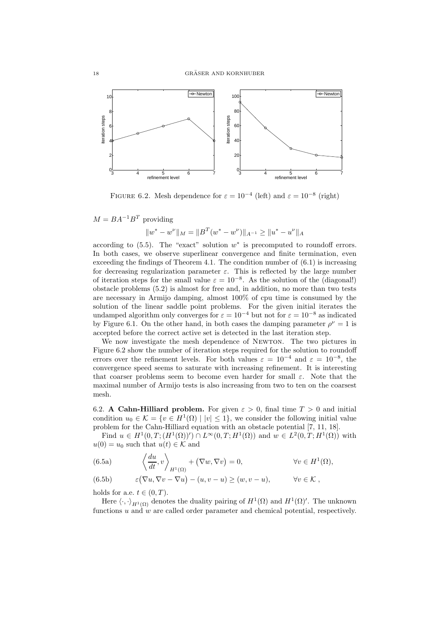

FIGURE 6.2. Mesh dependence for  $\varepsilon = 10^{-4}$  (left) and  $\varepsilon = 10^{-8}$  (right)

 $M = BA^{-1}B^{T}$  providing

$$
||w^* - w^{\nu}||_M = ||B^T(w^* - w^{\nu})||_{A^{-1}} \ge ||u^* - u^{\nu}||_A
$$

according to  $(5.5)$ . The "exact" solution  $w^*$  is precomputed to roundoff errors. In both cases, we observe superlinear convergence and finite termination, even exceeding the findings of Theorem 4.1. The condition number of (6.1) is increasing for decreasing regularization parameter  $\varepsilon$ . This is reflected by the large number of iteration steps for the small value  $\varepsilon = 10^{-8}$ . As the solution of the (diagonal!) obstacle problems (5.2) is almost for free and, in addition, no more than two tests are necessary in Armijo damping, almost 100% of cpu time is consumed by the solution of the linear saddle point problems. For the given initial iterates the undamped algorithm only converges for  $\varepsilon = 10^{-4}$  but not for  $\varepsilon = 10^{-8}$  as indicated by Figure 6.1. On the other hand, in both cases the damping parameter  $\rho^{\nu} = 1$  is accepted before the correct active set is detected in the last iteration step.

We now investigate the mesh dependence of NEWTON. The two pictures in Figure 6.2 show the number of iteration steps required for the solution to roundoff errors over the refinement levels. For both values  $\varepsilon = 10^{-4}$  and  $\varepsilon = 10^{-8}$ , the convergence speed seems to saturate with increasing refinement. It is interesting that coarser problems seem to become even harder for small  $\varepsilon$ . Note that the maximal number of Armijo tests is also increasing from two to ten on the coarsest mesh.

6.2. A Cahn-Hilliard problem. For given  $\varepsilon > 0$ , final time  $T > 0$  and initial condition  $u_0 \in \mathcal{K} = \{v \in H^1(\Omega) \mid |v| \leq 1\}$ , we consider the following initial value problem for the Cahn-Hilliard equation with an obstacle potential [7, 11, 18].

Find  $u \in H^1(0,T;(H^1(\Omega))') \cap L^{\infty}(0,T;H^1(\Omega))$  and  $w \in L^2(0,T;H^1(\Omega))$  with  $u(0) = u_0$  such that  $u(t) \in \mathcal{K}$  and

(6.5a) 
$$
\left\langle \frac{du}{dt}, v \right\rangle_{H^1(\Omega)} + (\nabla w, \nabla v) = 0, \qquad \forall v \in H^1(\Omega),
$$

(6.5b) 
$$
\varepsilon (\nabla u, \nabla v - \nabla u) - (u, v - u) \ge (w, v - u), \qquad \forall v \in \mathcal{K},
$$

holds for a.e.  $t \in (0, T)$ .

Here  $\langle \cdot, \cdot \rangle_{H^1(\Omega)}$  denotes the duality pairing of  $H^1(\Omega)$  and  $H^1(\Omega)'$ . The unknown functions u and  $w$  are called order parameter and chemical potential, respectively.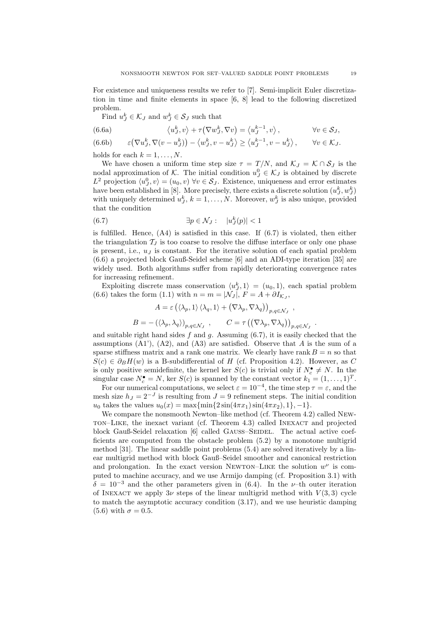For existence and uniqueness results we refer to [7]. Semi-implicit Euler discretization in time and finite elements in space [6, 8] lead to the following discretized problem.

Find  $u_J^k \in \mathcal{K}_J$  and  $w_J^k \in \mathcal{S}_J$  such that

(6.6a) 
$$
\langle u_J^k, v \rangle + \tau (\nabla w_J^k, \nabla v) = \langle u_J^{k-1}, v \rangle, \qquad \forall v \in \mathcal{S}_J,
$$

(6.6b) 
$$
\varepsilon (\nabla u_J^k, \nabla (v - u_J^k)) - \langle w_J^k, v - u_J^k \rangle \ge \langle u_J^{k-1}, v - u_J^k \rangle, \quad \forall v \in \mathcal{K}_J.
$$

holds for each  $k = 1, \ldots, N$ .

We have chosen a uniform time step size  $\tau = T/N$ , and  $\mathcal{K}_J = \mathcal{K} \cap \mathcal{S}_J$  is the nodal approximation of K. The initial condition  $u_J^0 \in \mathcal{K}_J$  is obtained by discrete  $L^2$  projection  $\langle u_J^0, v \rangle = (u_0, v) \,\forall v \in \mathcal{S}_J$ . Existence, uniqueness and error estimates have been established in [8]. More precisely, there exists a discrete solution  $(u_J^k, w_J^k)$ with uniquely determined  $u_j^k$ ,  $k = 1, ..., N$ . Moreover,  $w_j^k$  is also unique, provided that the condition

(6.7) 
$$
\exists p \in \mathcal{N}_J: \quad |u_J^k(p)| < 1
$$

is fulfilled. Hence, (A4) is satisfied in this case. If (6.7) is violated, then either the triangulation  $\mathcal{T}_I$  is too coarse to resolve the diffuse interface or only one phase is present, i.e.,  $u_j$  is constant. For the iterative solution of each spatial problem (6.6) a projected block Gauß-Seidel scheme [6] and an ADI-type iteration [35] are widely used. Both algorithms suffer from rapidly deteriorating convergence rates for increasing refinement.

Exploiting discrete mass conservation  $\langle u_j^k, 1 \rangle = (u_0, 1)$ , each spatial problem (6.6) takes the form (1.1) with  $n = m = |\mathcal{N}_J|, F = A + \partial I_{\mathcal{K}_J},$ 

$$
\begin{split} A &= \varepsilon \left( \left\langle \lambda_p, 1 \right\rangle \left\langle \lambda_q, 1 \right\rangle + \left( \nabla \lambda_p, \nabla \lambda_q \right) \right)_{p,q \in \mathcal{N}_J} \,, \\ B &= - \left( \left\langle \lambda_p, \lambda_q \right\rangle \right)_{p,q \in \mathcal{N}_J} \,, \qquad C = \tau \left( \left( \nabla \lambda_p, \nabla \lambda_q \right) \right)_{p,q \in \mathcal{N}_J} \end{split}
$$

and suitable right hand sides f and g. Assuming  $(6.7)$ , it is easily checked that the assumptions  $(A1)$ ,  $(A2)$ , and  $(A3)$  are satisfied. Observe that A is the sum of a sparse stiffness matrix and a rank one matrix. We clearly have rank  $B = n$  so that  $S(c) \in \partial_B H(w)$  is a B-subdifferential of H (cf. Proposition 4.2). However, as C is only positive semidefinite, the kernel ker  $S(c)$  is trivial only if  $N_c^{\bullet} \neq N$ . In the singular case  $N_c^{\bullet} = N$ , ker  $S(c)$  is spanned by the constant vector  $k_1 = (1, \ldots, 1)^T$ .

For our numerical computations, we select  $\varepsilon = 10^{-4}$ , the time step  $\tau = \varepsilon$ , and the mesh size  $h_J = 2^{-J}$  is resulting from  $J = 9$  refinement steps. The initial condition  $u_0$  takes the values  $u_0(x) = \max{\min\{2\sin(4\pi x_1)\sin(4\pi x_2), 1\}, -1\}.$ 

We compare the nonsmooth Newton–like method (cf. Theorem 4.2) called Newton–Like, the inexact variant (cf. Theorem 4.3) called Inexact and projected block Gauß-Seidel relaxation [6] called GAUSS–SEIDEL. The actual active coefficients are computed from the obstacle problem (5.2) by a monotone multigrid method [31]. The linear saddle point problems (5.4) are solved iteratively by a linear multigrid method with block Gauß–Seidel smoother and canonical restriction and prolongation. In the exact version NEWTON–LIKE the solution  $w^{\nu}$  is computed to machine accuracy, and we use Armijo damping (cf. Proposition 3.1) with  $\delta = 10^{-3}$  and the other parameters given in (6.4). In the v–th outer iteration of INEXACT we apply  $3\nu$  steps of the linear multigrid method with  $V(3,3)$  cycle to match the asymptotic accuracy condition (3.17), and we use heuristic damping  $(5.6)$  with  $\sigma = 0.5$ .

.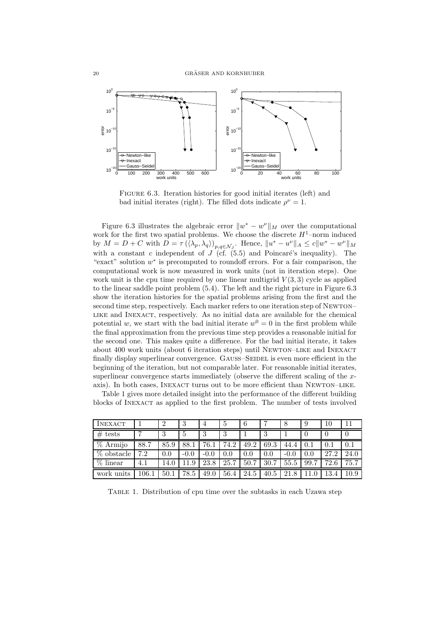

FIGURE 6.3. Iteration histories for good initial iterates (left) and bad initial iterates (right). The filled dots indicate  $\rho^{\nu} = 1$ .

Figure 6.3 illustrates the algebraic error  $||w^* - w^{\nu}||_M$  over the computational work for the first two spatial problems. We choose the discrete  $H^1$ –norm induced by  $M = D + C$  with  $D = \tau \left( \langle \lambda_p, \lambda_q \rangle \right)_{p,q \in \mathcal{N}_J}$ . Hence,  $||u^* - u^{\nu}||_A \leq c||w^* - w^{\nu}||_M$ with a constant c independent of  $J$  (cf. (5.5) and Poincaré's inequality). The "exact" solution  $w^*$  is precomputed to roundoff errors. For a fair comparison, the computational work is now measured in work units (not in iteration steps). One work unit is the cpu time required by one linear multigrid  $V(3,3)$  cycle as applied to the linear saddle point problem (5.4). The left and the right picture in Figure 6.3 show the iteration histories for the spatial problems arising from the first and the second time step, respectively. Each marker refers to one iteration step of NEWTON– like and Inexact, respectively. As no initial data are available for the chemical potential w, we start with the bad initial iterate  $w^0 = 0$  in the first problem while the final approximation from the previous time step provides a reasonable initial for the second one. This makes quite a difference. For the bad initial iterate, it takes about 400 work units (about 6 iteration steps) until Newton–like and Inexact finally display superlinear convergence. GAUSS–SEIDEL is even more efficient in the beginning of the iteration, but not comparable later. For reasonable initial iterates, superlinear convergence starts immediately (observe the different scaling of the xaxis). In both cases, INEXACT turns out to be more efficient than NEWTON–LIKE.

Table 1 gives more detailed insight into the performance of the different building blocks of Inexact as applied to the first problem. The number of tests involved

| INEXACT                       |       |         | 3      | 4      | $\mathbf{G}$ | 6    |                    |        | 9    | 10   |      |
|-------------------------------|-------|---------|--------|--------|--------------|------|--------------------|--------|------|------|------|
| $#$ tests                     |       | 2<br>J. | 5      | 3      | 3            |      | $\mathbf{Q}$<br>J. |        |      |      | 0    |
| % Armijo                      | 88.7  | 85.9    | 88.1   | 76.1   | 74.2         | 49.2 | 69.3               | 44.4   | 0.1  | 0.1  | 0.1  |
| $\%$<br>obstacle              | 7.2   | 0.0     | $-0.0$ | $-0.0$ | 0.0          | 0.0  | 0.0                | $-0.0$ | 0.0  | 27.2 | 24.0 |
| $\sqrt{\frac{2}{\pi}}$ linear | 4.1   | 14.0    | 11.9   | 23.8   | 25.7         | 50.7 | 30.7               | 55.5   | 99.7 | 72.6 | 75.7 |
| work units                    | 106.1 | 50.1    | 78.5   | 49.0   | 56.4         | 24.5 | 40.5               | 21.8   |      | 13.4 | 10.9 |

Table 1. Distribution of cpu time over the subtasks in each Uzawa step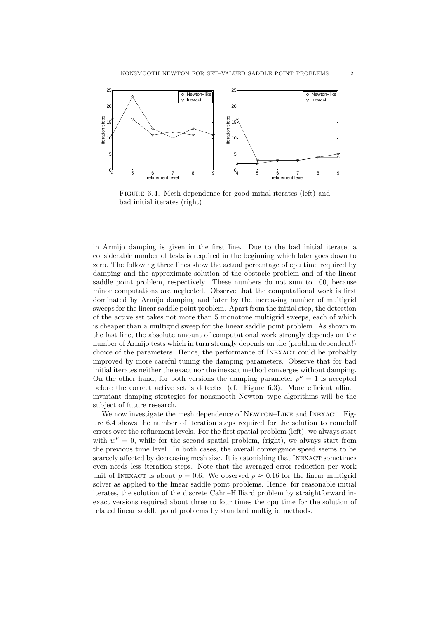

FIGURE 6.4. Mesh dependence for good initial iterates (left) and bad initial iterates (right)

in Armijo damping is given in the first line. Due to the bad initial iterate, a considerable number of tests is required in the beginning which later goes down to zero. The following three lines show the actual percentage of cpu time required by damping and the approximate solution of the obstacle problem and of the linear saddle point problem, respectively. These numbers do not sum to 100, because minor computations are neglected. Observe that the computational work is first dominated by Armijo damping and later by the increasing number of multigrid sweeps for the linear saddle point problem. Apart from the initial step, the detection of the active set takes not more than 5 monotone multigrid sweeps, each of which is cheaper than a multigrid sweep for the linear saddle point problem. As shown in the last line, the absolute amount of computational work strongly depends on the number of Armijo tests which in turn strongly depends on the (problem dependent!) choice of the parameters. Hence, the performance of INEXACT could be probably improved by more careful tuning the damping parameters. Observe that for bad initial iterates neither the exact nor the inexact method converges without damping. On the other hand, for both versions the damping parameter  $\rho^{\nu} = 1$  is accepted before the correct active set is detected (cf. Figure 6.3). More efficient affine– invariant damping strategies for nonsmooth Newton–type algorithms will be the subject of future research.

We now investigate the mesh dependence of NEWTON–LIKE and INEXACT. Figure 6.4 shows the number of iteration steps required for the solution to roundoff errors over the refinement levels. For the first spatial problem (left), we always start with  $w^{\nu} = 0$ , while for the second spatial problem, (right), we always start from the previous time level. In both cases, the overall convergence speed seems to be scarcely affected by decreasing mesh size. It is astonishing that INEXACT sometimes even needs less iteration steps. Note that the averaged error reduction per work unit of INEXACT is about  $\rho = 0.6$ . We observed  $\rho \approx 0.16$  for the linear multigrid solver as applied to the linear saddle point problems. Hence, for reasonable initial iterates, the solution of the discrete Cahn–Hilliard problem by straightforward inexact versions required about three to four times the cpu time for the solution of related linear saddle point problems by standard multigrid methods.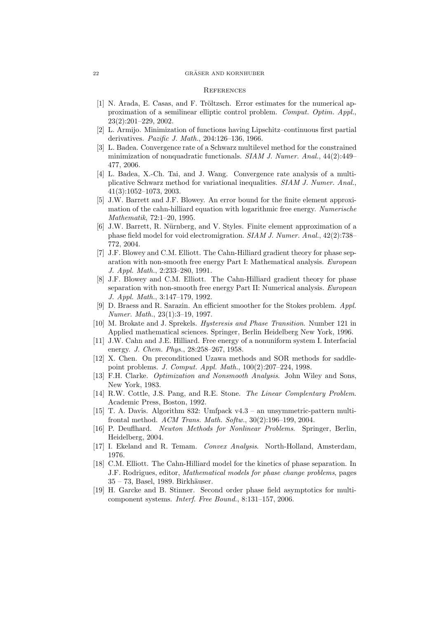#### 22 GRÄSER AND KORNHUBER

#### **REFERENCES**

- [1] N. Arada, E. Casas, and F. Tröltzsch. Error estimates for the numerical approximation of a semilinear elliptic control problem. Comput. Optim. Appl., 23(2):201–229, 2002.
- [2] L. Armijo. Minimization of functions having Lipschitz–continuous first partial derivatives. Pazific J. Math., 204:126–136, 1966.
- [3] L. Badea. Convergence rate of a Schwarz multilevel method for the constrained minimization of nonquadratic functionals. SIAM J. Numer. Anal., 44(2):449– 477, 2006.
- [4] L. Badea, X.-Ch. Tai, and J. Wang. Convergence rate analysis of a multiplicative Schwarz method for variational inequalities. SIAM J. Numer. Anal., 41(3):1052–1073, 2003.
- [5] J.W. Barrett and J.F. Blowey. An error bound for the finite element approximation of the cahn-hilliard equation with logarithmic free energy. Numerische Mathematik, 72:1–20, 1995.
- [6] J.W. Barrett, R. Nürnberg, and V. Styles. Finite element approximation of a phase field model for void electromigration. SIAM J. Numer. Anal., 42(2):738– 772, 2004.
- [7] J.F. Blowey and C.M. Elliott. The Cahn-Hilliard gradient theory for phase separation with non-smooth free energy Part I: Mathematical analysis. European J. Appl. Math., 2:233–280, 1991.
- [8] J.F. Blowey and C.M. Elliott. The Cahn-Hilliard gradient theory for phase separation with non-smooth free energy Part II: Numerical analysis. European J. Appl. Math., 3:147–179, 1992.
- [9] D. Braess and R. Sarazin. An efficient smoother for the Stokes problem. Appl. Numer. Math., 23(1):3–19, 1997.
- [10] M. Brokate and J. Sprekels. Hysteresis and Phase Transition. Number 121 in Applied mathematical sciences. Springer, Berlin Heidelberg New York, 1996.
- [11] J.W. Cahn and J.E. Hilliard. Free energy of a nonuniform system I. Interfacial energy. J. Chem. Phys., 28:258–267, 1958.
- [12] X. Chen. On preconditioned Uzawa methods and SOR methods for saddlepoint problems. J. Comput. Appl. Math., 100(2):207–224, 1998.
- [13] F.H. Clarke. *Optimization and Nonsmooth Analysis*. John Wiley and Sons, New York, 1983.
- [14] R.W. Cottle, J.S. Pang, and R.E. Stone. The Linear Complentary Problem. Academic Press, Boston, 1992.
- [15] T. A. Davis. Algorithm 832: Umfpack v4.3 an unsymmetric-pattern multifrontal method. ACM Trans. Math. Softw., 30(2):196–199, 2004.
- [16] P. Deuflhard. Newton Methods for Nonlinear Problems. Springer, Berlin, Heidelberg, 2004.
- [17] I. Ekeland and R. Temam. Convex Analysis. North-Holland, Amsterdam, 1976.
- [18] C.M. Elliott. The Cahn-Hilliard model for the kinetics of phase separation. In J.F. Rodrigues, editor, Mathematical models for phase change problems, pages 35 – 73, Basel, 1989. Birkhäuser.
- [19] H. Garcke and B. Stinner. Second order phase field asymptotics for multicomponent systems. Interf. Free Bound., 8:131–157, 2006.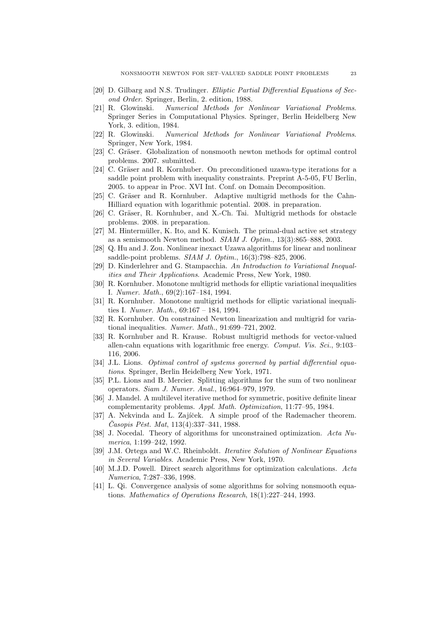- [20] D. Gilbarg and N.S. Trudinger. Elliptic Partial Differential Equations of Second Order. Springer, Berlin, 2. edition, 1988.
- [21] R. Glowinski. Numerical Methods for Nonlinear Variational Problems. Springer Series in Computational Physics. Springer, Berlin Heidelberg New York, 3. edition, 1984.
- [22] R. Glowinski. Numerical Methods for Nonlinear Variational Problems. Springer, New York, 1984.
- [23] C. Gräser. Globalization of nonsmooth newton methods for optimal control problems. 2007. submitted.
- [24] C. Gräser and R. Kornhuber. On preconditioned uzawa-type iterations for a saddle point problem with inequality constraints. Preprint A-5-05, FU Berlin, 2005. to appear in Proc. XVI Int. Conf. on Domain Decomposition.
- [25] C. Gräser and R. Kornhuber. Adaptive multigrid methods for the Cahn-Hilliard equation with logarithmic potential. 2008. in preparation.
- [26] C. Gräser, R. Kornhuber, and X.-Ch. Tai. Multigrid methods for obstacle problems. 2008. in preparation.
- [27] M. Hintermüller, K. Ito, and K. Kunisch. The primal-dual active set strategy as a semismooth Newton method. SIAM J. Optim., 13(3):865–888, 2003.
- [28] Q. Hu and J. Zou. Nonlinear inexact Uzawa algorithms for linear and nonlinear saddle-point problems. SIAM J. Optim., 16(3):798–825, 2006.
- [29] D. Kinderlehrer and G. Stampacchia. An Introduction to Variational Inequalities and Their Applications. Academic Press, New York, 1980.
- [30] R. Kornhuber. Monotone multigrid methods for elliptic variational inequalities I. Numer. Math., 69(2):167–184, 1994.
- [31] R. Kornhuber. Monotone multigrid methods for elliptic variational inequalities I. Numer. Math., 69:167 – 184, 1994.
- [32] R. Kornhuber. On constrained Newton linearization and multigrid for variational inequalities. Numer. Math., 91:699–721, 2002.
- [33] R. Kornhuber and R. Krause. Robust multigrid methods for vector-valued allen-cahn equations with logarithmic free energy. Comput. Vis. Sci., 9:103– 116, 2006.
- [34] J.L. Lions. *Optimal control of systems governed by partial differential equa*tions. Springer, Berlin Heidelberg New York, 1971.
- [35] P.L. Lions and B. Mercier. Splitting algorithms for the sum of two nonlinear operators. Siam J. Numer. Anal., 16:964–979, 1979.
- [36] J. Mandel. A multilevel iterative method for symmetric, positive definite linear complementarity problems. Appl. Math. Optimization, 11:77–95, 1984.
- [37] A. Nekvinda and L. Zajíček. A simple proof of the Rademacher theorem.  $\dot{C}asopis$  Pěst. Mat, 113(4):337–341, 1988.
- [38] J. Nocedal. Theory of algorithms for unconstrained optimization. Acta Numerica, 1:199–242, 1992.
- [39] J.M. Ortega and W.C. Rheinboldt. Iterative Solution of Nonlinear Equations in Several Variables. Academic Press, New York, 1970.
- [40] M.J.D. Powell. Direct search algorithms for optimization calculations. Acta Numerica, 7:287–336, 1998.
- [41] L. Qi. Convergence analysis of some algorithms for solving nonsmooth equations. Mathematics of Operations Research, 18(1):227–244, 1993.